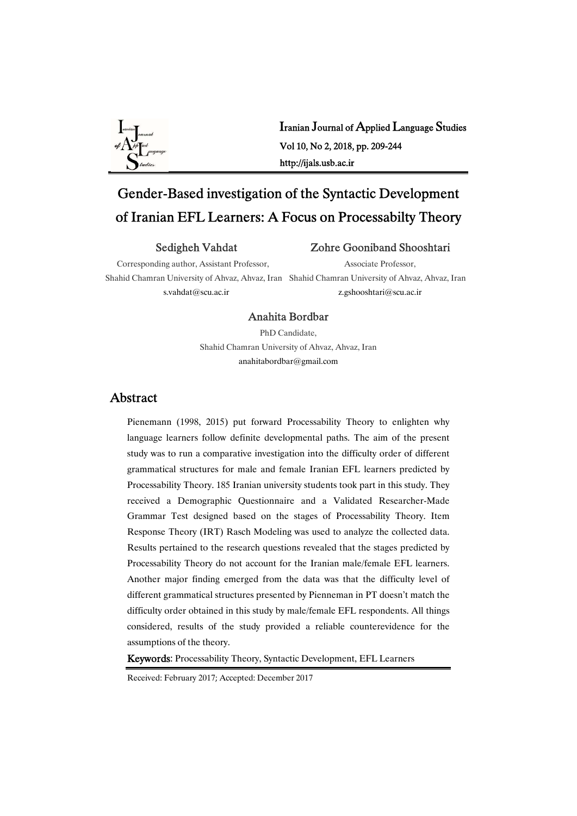

Iranian Journal of Applied Language Studies Vol10,No2,2018,pp.209-244 http://ijals.usb.ac.ir

# Gender-Based investigation of the Syntactic Development of Iranian EFL Learners: A Focus on Processabilty Theory

#### Sedigheh Vahdat

#### Zohre Gooniband Shooshtari

Corresponding author, Assistant Professor, s.vahdat@scu.ac.ir

Associate Professor,

Shahid Chamran University of Ahvaz, Ahvaz, Iran Shahid Chamran University of Ahvaz, Ahvaz, Iran z.gshooshtari@scu.ac.ir

#### Anahita Bordbar

PhD Candidate. Shahid Chamran University of Ahvaz, Ahvaz, Iran anahitabordbar@gmail.com

### Abstract

Pienemann (1998, 2015) put forward Processability Theory to enlighten why language learners follow definite developmental paths. The aim of the present study was to run a comparative investigation into the difficulty order of different grammatical structures for male and female Iranian EFL learners predicted by Processability Theory. 185 Iranian university students took part in this study. They received a Demographic Questionnaire and a Validated Researcher-Made Grammar Test designed based on the stages of Processability Theory. Item Response Theory (IRT) Rasch Modeling was used to analyze the collected data. Results pertained to the research questions revealed that the stages predicted by Processability Theory do not account for the Iranian male/female EFL learners. Another major finding emerged from the data was that the difficulty level of different grammatical structures presented by Pienneman in PT doesn't match the difficulty order obtained in this study by male/female EFL respondents. All things considered, results of the study provided a reliable counterevidence for the assumptions of the theory.

Keywords: Processability Theory, Syntactic Development, EFL Learners

Received: February 2017; Accepted: December 2017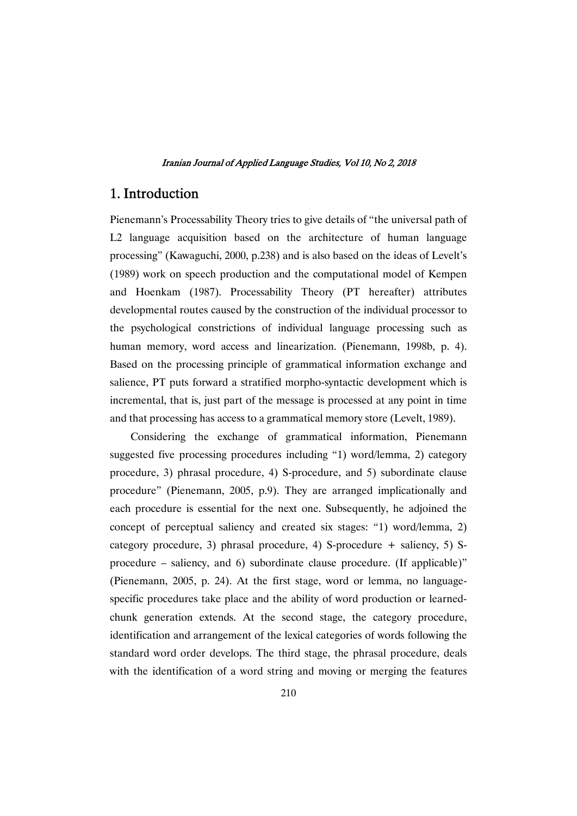### 1.Introduction

Pienemann's Processability Theory tries to give details of "the universal path of L2 language acquisition based on the architecture of human language processing" (Kawaguchi, 2000, p.238) and is also based on the ideas of Levelt's (1989) work on speech production and the computational model of Kempen and Hoenkam (1987). Processability Theory (PT hereafter) attributes developmental routes caused by the construction of the individual processor to the psychological constrictions of individual language processing such as human memory, word access and linearization. (Pienemann, 1998b, p. 4). Based on the processing principle of grammatical information exchange and salience, PT puts forward a stratified morpho-syntactic development which is incremental, that is, just part of the message is processed at any point in time and that processing has access to a grammatical memory store (Levelt, 1989).

Considering the exchange of grammatical information, Pienemann suggested five processing procedures including "1) word/lemma, 2) category procedure, 3) phrasal procedure, 4) S-procedure, and 5) subordinate clause procedure" (Pienemann, 2005, p.9). They are arranged implicationally and each procedure is essential for the next one. Subsequently, he adjoined the concept of perceptual saliency and created six stages: "1) word/lemma, 2) category procedure, 3) phrasal procedure, 4) S-procedure + saliency, 5) Sprocedure – saliency, and 6) subordinate clause procedure. (If applicable)" (Pienemann, 2005, p. 24). At the first stage, word or lemma, no languagespecific procedures take place and the ability of word production or learnedchunk generation extends. At the second stage, the category procedure, identification and arrangement of the lexical categories of words following the standard word order develops. The third stage, the phrasal procedure, deals with the identification of a word string and moving or merging the features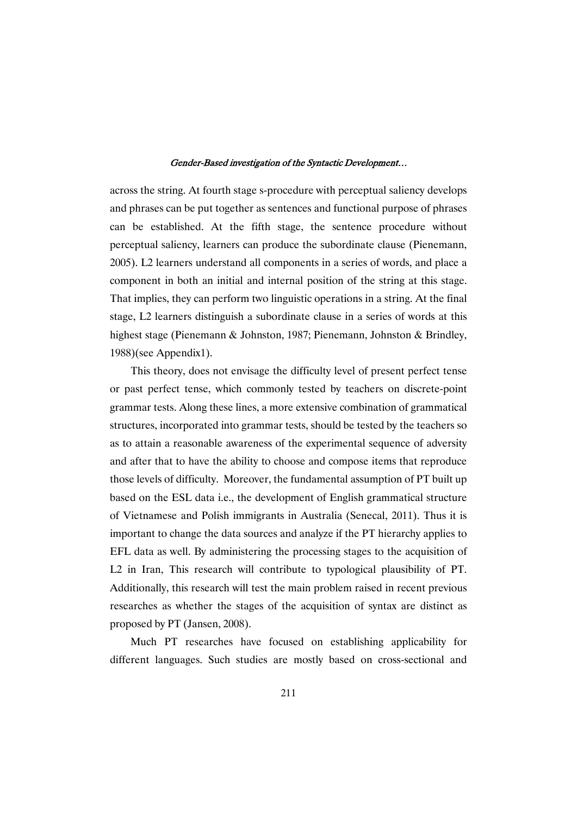across the string. At fourth stage s-procedure with perceptual saliency develops and phrases can be put together as sentences and functional purpose of phrases can be established. At the fifth stage, the sentence procedure without perceptual saliency, learners can produce the subordinate clause (Pienemann, 2005). L2 learners understand all components in a series of words, and place a component in both an initial and internal position of the string at this stage. That implies, they can perform two linguistic operations in a string. At the final stage, L2 learners distinguish a subordinate clause in a series of words at this highest stage (Pienemann & Johnston, 1987; Pienemann, Johnston & Brindley, 1988)(seeAppendix1).

This theory, does not envisage the difficulty level of present perfect tense or past perfect tense, which commonly tested by teachers on discrete-point grammar tests. Along these lines, a more extensive combination of grammatical structures, incorporated into grammar tests, should be tested by the teachers so as to attain a reasonable awareness of the experimental sequence of adversity and after that to have the ability to choose and compose items that reproduce those levels of difficulty. Moreover, the fundamental assumption of PT built up based on the ESL data i.e., the development of English grammatical structure of Vietnamese and Polish immigrants in Australia (Senecal, 2011). Thus it is important to change the data sources and analyze if the PT hierarchy applies to EFL data as well. By administering the processing stages to the acquisition of L2 in Iran, This research will contribute to typological plausibility of PT. Additionally, this research will test the main problem raised in recent previous researches as whether the stages of the acquisition of syntax are distinct as proposed by PT (Jansen, 2008).

Much PT researches have focused on establishing applicability for different languages. Such studies are mostly based on cross-sectional and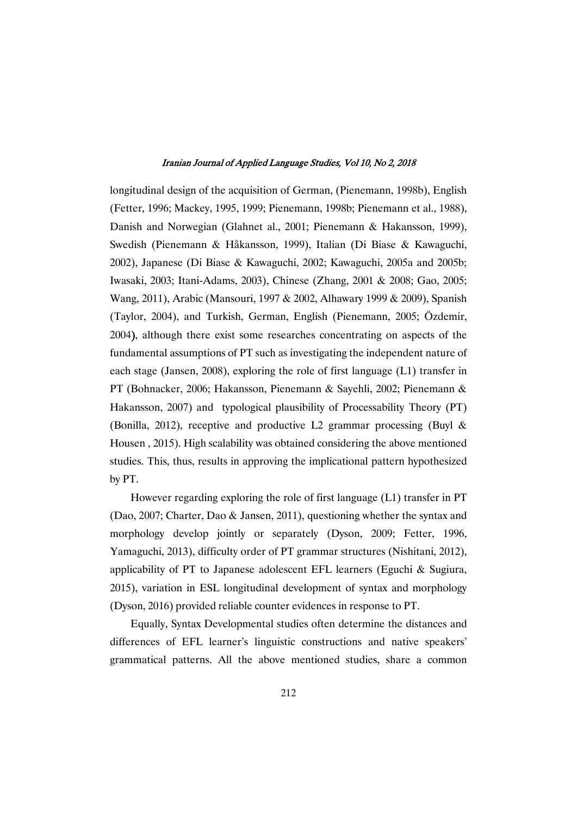longitudinal design of the acquisition of German, (Pienemann, 1998b), English (Fetter, 1996; Mackey, 1995, 1999; Pienemann, 1998b; Pienemann et al., 1988), Danish and Norwegian (Glahnet al., 2001; Pienemann & Hakansson, 1999), Swedish (Pienemann & Håkansson, 1999), Italian (Di Biase & Kawaguchi, 2002), Japanese (Di Biase & Kawaguchi, 2002; Kawaguchi, 2005a and 2005b; Iwasaki,2003; Itani-Adams,2003),Chinese (Zhang,2001&2008;Gao,2005; Wang, 2011), Arabic (Mansouri, 1997 & 2002, Alhawary 1999 & 2009), Spanish (Taylor, 2004), and Turkish, German, English (Pienemann, 2005; Özdemir, 2004), although there exist some researches concentrating on aspects of the fundamental assumptions of PT such as investigating the independent nature of each stage (Jansen, 2008), exploring the role of first language  $(L1)$  transfer in PT (Bohnacker, 2006; Hakansson, Pienemann & Sayehli, 2002; Pienemann & Hakansson, 2007) and typological plausibility of Processability Theory (PT) (Bonilla, 2012), receptive and productive L2 grammar processing (Buyl & Housen, 2015). High scalability was obtained considering the above mentioned studies. This, thus, results in approving the implicational pattern hypothesized by PT.

However regarding exploring the role of first language  $(L1)$  transfer in PT (Dao, 2007; Charter, Dao & Jansen, 2011), questioning whether the syntax and morphology develop jointly or separately (Dyson, 2009; Fetter, 1996, Yamaguchi, 2013), difficulty order of PT grammar structures (Nishitani, 2012), applicability of PT to Japanese adolescent EFL learners (Eguchi & Sugiura, 2015), variation in ESL longitudinal development of syntax and morphology (Dyson, 2016) provided reliable counter evidences in response to PT.

Equally, Syntax Developmental studies often determine the distances and differences of EFL learner's linguistic constructions and native speakers' grammatical patterns. All the above mentioned studies, share a common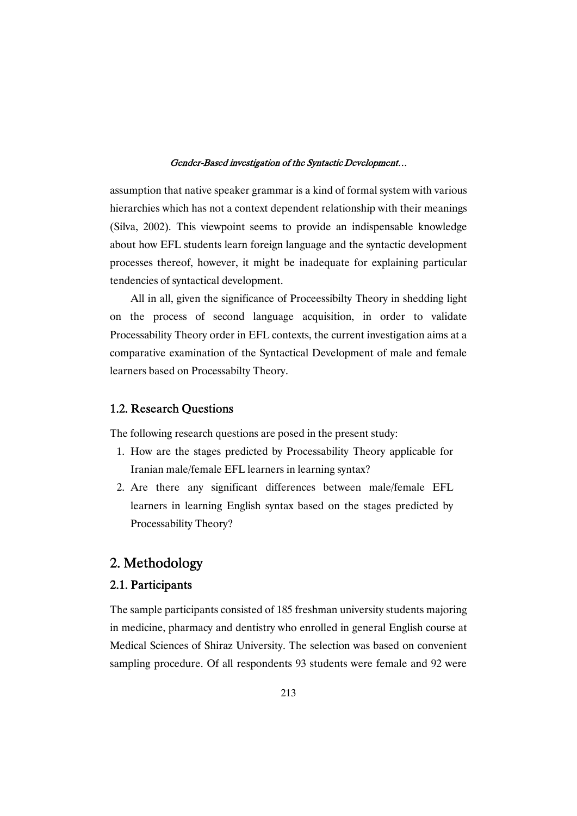assumption that native speaker grammar is a kind of formal system with various hierarchies which has not a context dependent relationship with their meanings (Silva, 2002). This viewpoint seems to provide an indispensable knowledge about how EFL students learn foreign language and the syntactic development processes thereof, however, it might be inadequate for explaining particular tendencies of syntactical development.

All in all, given the significance of Proceessibilty Theory in shedding light on the process of second language acquisition, in order to validate Processability Theory order in EFL contexts, the current investigation aims at a comparative examination of the Syntactical Development of male and female learners based on Processabilty Theory.

### 1.2. Research Questions

The following research questions are posed in the present study:

- 1. How are the stages predicted by Processability Theory applicable for Iranian male/female EFL learners in learning syntax?
- 2. Are there any significant differences between male/female EFL learners in learning English syntax based on the stages predicted by Processability Theory?

# 2.Methodology

### 2.1.Participants

The sample participants consisted of 185 freshman university students majoring in medicine, pharmacy and dentistry who enrolled in general English course at Medical Sciences of Shiraz University. The selection was based on convenient sampling procedure. Of all respondents 93 students were female and 92 were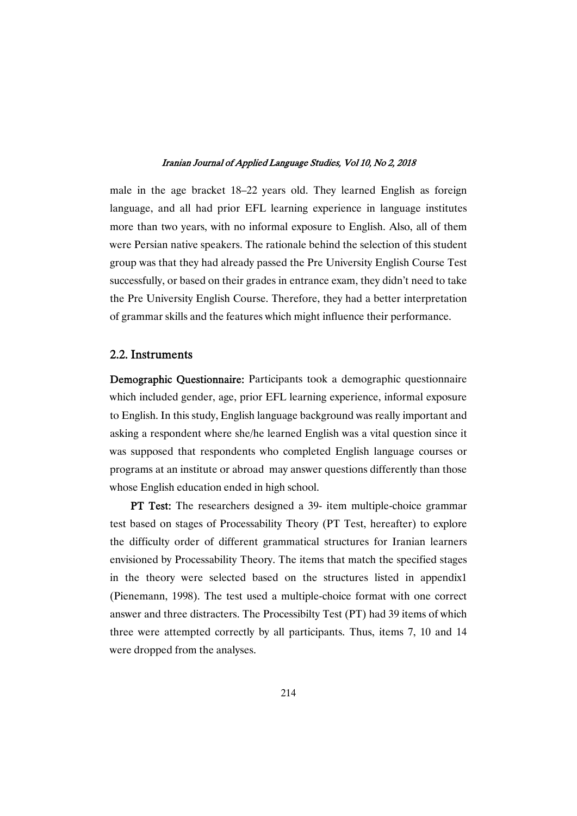male in the age bracket 18–22 years old. They learned English as foreign language, and all had prior EFL learning experience in language institutes more than two years, with no informal exposure to English. Also, all of them were Persian native speakers. The rationale behind the selection of this student group was that they had already passed the Pre University English Course Test successfully, or based on their grades in entrance exam, they didn't need to take the Pre University English Course. Therefore, they had a better interpretation of grammar skills and the features which might influence their performance.

#### 2.2.Instruments

Demographic Questionnaire: Participants took a demographic questionnaire which included gender, age, prior EFL learning experience, informal exposure to English. In this study, English language background was really important and asking a respondent where she/he learned English was a vital question since it was supposed that respondents who completed English language courses or programs at an institute or abroad may answer questions differently than those whose English education ended in high school.

PT Test: The researchers designed a 39- item multiple-choice grammar test based on stages of Processability Theory (PT Test, hereafter) to explore the difficulty order of different grammatical structures for Iranian learners envisioned by Processability Theory. The items that match the specified stages in the theory were selected based on the structures listed in appendix1 (Pienemann, 1998). The test used a multiple-choice format with one correct answer and three distracters. The Processibilty Test (PT) had 39 items of which three were attempted correctly by all participants. Thus, items 7, 10 and 14 were dropped from the analyses.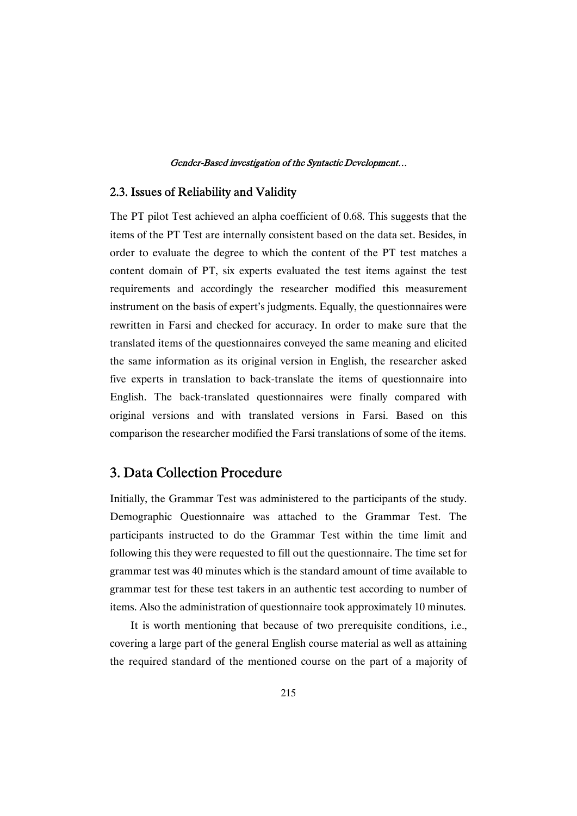### 2.3. Issues of Reliability and Validity

The PT pilot Test achieved an alpha coefficient of 0.68. This suggests that the items of the PT Test are internally consistent based on the data set. Besides, in order to evaluate the degree to which the content of the PT test matches a content domain of PT, six experts evaluated the test items against the test requirements and accordingly the researcher modified this measurement instrument on the basis of expert's judgments. Equally, the questionnaires were rewritten in Farsi and checked for accuracy. In order to make sure that the translated items of the questionnaires conveyed the same meaning and elicited the same information as its original version in English, the researcher asked five experts in translation to back-translate the items of questionnaire into English. The back-translated questionnaires were finally compared with original versions and with translated versions in Farsi. Based on this comparison the researcher modified the Farsi translations of some of the items.

# 3. Data Collection Procedure

Initially, the Grammar Test was administered to the participants of the study. Demographic Questionnaire was attached to the Grammar Test. The participants instructed to do the Grammar Test within the time limit and following this they were requested to fill out the questionnaire. The time set for grammar test was 40 minutes which is the standard amount of time available to grammar test for these test takers in an authentic test according to number of items. Also the administration of questionnaire took approximately 10 minutes.

It is worth mentioning that because of two prerequisite conditions, i.e., covering a large part of the general English course material as well as attaining the required standard of the mentioned course on the part of a majority of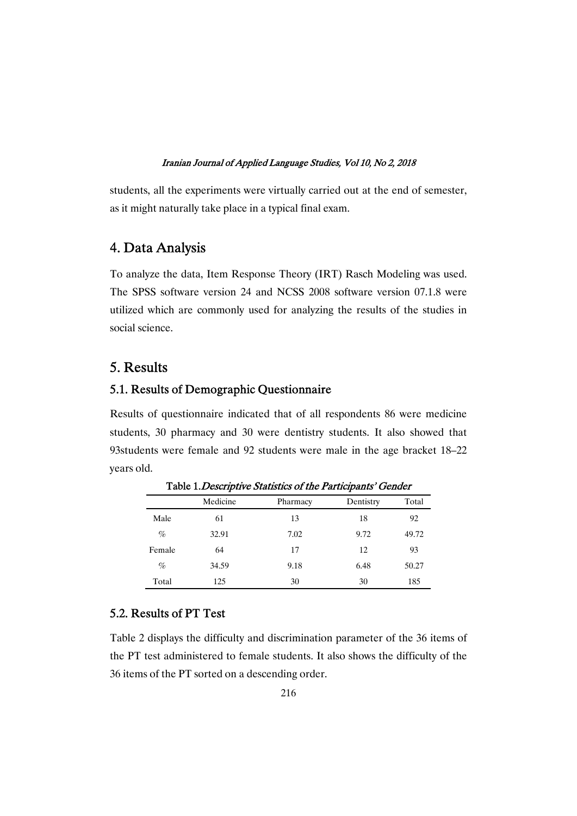students, all the experiments were virtually carried out at the end of semester, as it might naturally take place in a typical final exam.

# 4.DataAnalysis

To analyze the data, Item Response Theory (IRT) Rasch Modeling was used. The SPSS software version 24 and NCSS 2008 software version 07.1.8 were utilized which are commonly used for analyzing the results of the studies in social science.

### 5.Results

### 5.1. Results of Demographic Questionnaire

Results of questionnaire indicated that of all respondents 86 were medicine students, 30 pharmacy and 30 were dentistry students. It also showed that 93students were female and 92 students were male in the age bracket 18–22 vears old.

|        | Medicine | Pharmacy | Dentistry | Total |
|--------|----------|----------|-----------|-------|
| Male   | 61       | 13       | 18        | 92    |
| $\%$   | 32.91    | 7.02     | 9.72      | 49.72 |
| Female | 64       | 17       | 12        | 93    |
| $\%$   | 34.59    | 9.18     | 6.48      | 50.27 |
| Total  | 125      | 30       | 30        | 185   |

Table 1. Descriptive Statistics of the Participants' Gender

### 5.2. Results of PT Test

Table 2 displays the difficulty and discrimination parameter of the 36 items of the PT test administered to female students. It also shows the difficulty of the 36 items of the PT sorted on a descending order.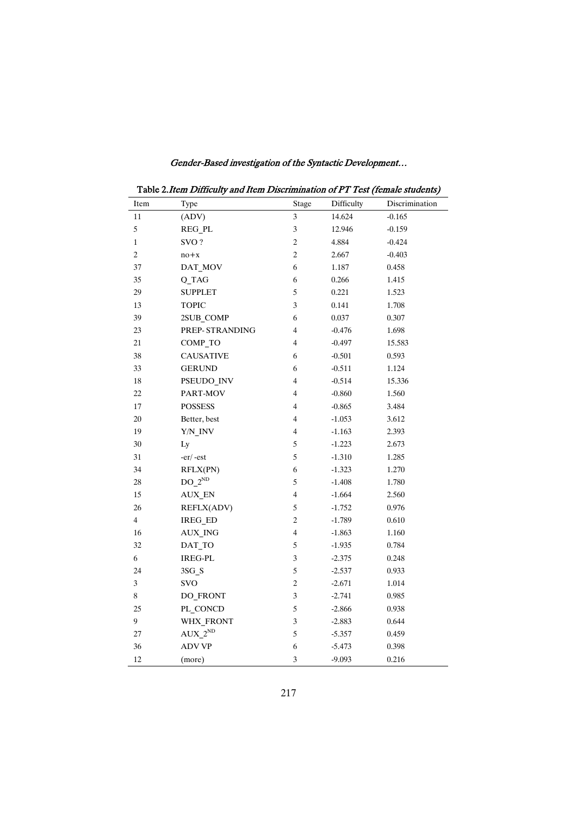|                | Table 2. Item Difficulty and Item Discrimination of PT Test (female students) |                          |            |                |  |
|----------------|-------------------------------------------------------------------------------|--------------------------|------------|----------------|--|
| Item           | Type                                                                          | Stage                    | Difficulty | Discrimination |  |
| 11             | (ADV)                                                                         | 3                        | 14.624     | $-0.165$       |  |
| 5              | REG_PL                                                                        | 3                        | 12.946     | $-0.159$       |  |
| $\mathbf{1}$   | SVO?                                                                          | $\overline{c}$           | 4.884      | $-0.424$       |  |
| $\overline{c}$ | $no + x$                                                                      | $\overline{c}$           | 2.667      | $-0.403$       |  |
| 37             | DAT_MOV                                                                       | 6                        | 1.187      | 0.458          |  |
| 35             | Q TAG                                                                         | 6                        | 0.266      | 1.415          |  |
| 29             | <b>SUPPLET</b>                                                                | 5                        | 0.221      | 1.523          |  |
| 13             | <b>TOPIC</b>                                                                  | 3                        | 0.141      | 1.708          |  |
| 39             | 2SUB_COMP                                                                     | 6                        | 0.037      | 0.307          |  |
| 23             | PREP-STRANDING                                                                | 4                        | $-0.476$   | 1.698          |  |
| 21             | COMP_TO                                                                       | 4                        | $-0.497$   | 15.583         |  |
| 38             | <b>CAUSATIVE</b>                                                              | 6                        | $-0.501$   | 0.593          |  |
| 33             | <b>GERUND</b>                                                                 | 6                        | $-0.511$   | 1.124          |  |
| 18             | PSEUDO INV                                                                    | 4                        | $-0.514$   | 15.336         |  |
| 22             | PART-MOV                                                                      | 4                        | $-0.860$   | 1.560          |  |
| 17             | <b>POSSESS</b>                                                                | 4                        | $-0.865$   | 3.484          |  |
| 20             | Better, best                                                                  | 4                        | $-1.053$   | 3.612          |  |
| 19             | Y/N_INV                                                                       | 4                        | $-1.163$   | 2.393          |  |
| 30             | Ly                                                                            | 5                        | $-1.223$   | 2.673          |  |
| 31             | $-er/-est$                                                                    | 5                        | $-1.310$   | 1.285          |  |
| 34             | RFLX(PN)                                                                      | 6                        | $-1.323$   | 1.270          |  |
| 28             | $DO_2ND$                                                                      | 5                        | $-1.408$   | 1.780          |  |
| 15             | AUX EN                                                                        | $\overline{\mathcal{L}}$ | $-1.664$   | 2.560          |  |
| 26             | REFLX(ADV)                                                                    | 5                        | $-1.752$   | 0.976          |  |
| $\overline{4}$ | IREG ED                                                                       | $\overline{c}$           | $-1.789$   | 0.610          |  |
| 16             | AUX ING                                                                       | $\overline{\mathcal{L}}$ | $-1.863$   | 1.160          |  |
| 32             | DAT_TO                                                                        | 5                        | $-1.935$   | 0.784          |  |
| 6              | <b>IREG-PL</b>                                                                | 3                        | $-2.375$   | 0.248          |  |
| 24             | 3SG S                                                                         | 5                        | $-2.537$   | 0.933          |  |
| 3              | <b>SVO</b>                                                                    | $\overline{c}$           | $-2.671$   | 1.014          |  |
| 8              | DO FRONT                                                                      | 3                        | $-2.741$   | 0.985          |  |
| 25             | PL CONCD                                                                      | 5                        | $-2.866$   | 0.938          |  |
| 9              | WHX_FRONT                                                                     | 3                        | $-2.883$   | 0.644          |  |
| 27             | $AUX_2^ND$                                                                    | 5                        | $-5.357$   | 0.459          |  |
| 36             | <b>ADV VP</b>                                                                 | 6                        | $-5.473$   | 0.398          |  |
| 12             | (more)                                                                        | 3                        | $-9.093$   | 0.216          |  |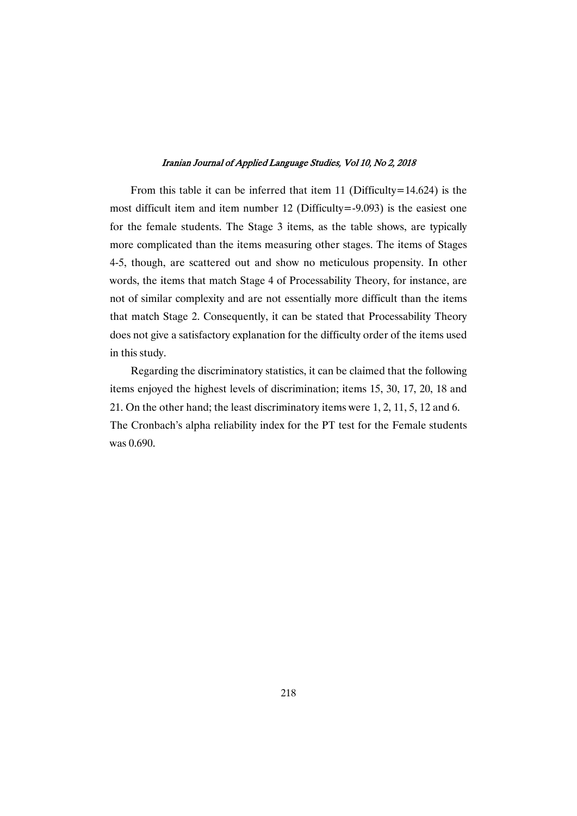From this table it can be inferred that item 11 (Difficulty=14.624) is the most difficult item and item number 12 (Difficulty=-9.093) is the easiest one for the female students. The Stage 3 items, as the table shows, are typically more complicated than the items measuring other stages. The items of Stages 4-5, though, are scattered out and show no meticulous propensity. In other words, the items that match Stage 4 of Processability Theory, for instance, are not of similar complexity and are not essentially more difficult than the items that match Stage 2. Consequently, it can be stated that Processability Theory does not give a satisfactory explanation for the difficulty order of the items used in this study.

Regarding the discriminatory statistics, it can be claimed that the following items enjoyed the highest levels of discrimination; items 15, 30, 17, 20, 18 and 21. On the other hand; the least discriminatory items were 1, 2, 11, 5, 12 and 6. The Cronbach's alpha reliability index for the PT test for the Female students was 0.690.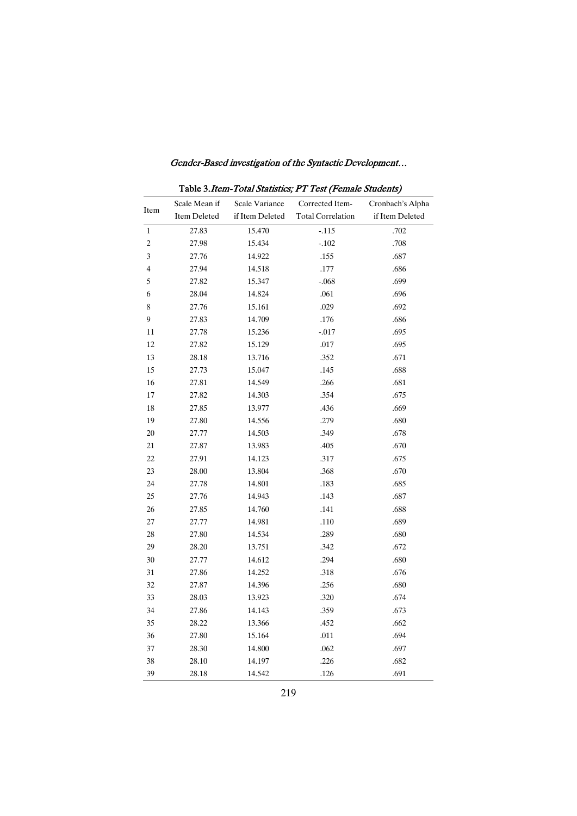|                | Table 3. Item-Total Statistics; PT Test (Female Students) |                 |                          |                  |  |  |
|----------------|-----------------------------------------------------------|-----------------|--------------------------|------------------|--|--|
|                | Scale Mean if                                             | Scale Variance  | Corrected Item-          | Cronbach's Alpha |  |  |
| Item           | Item Deleted                                              | if Item Deleted | <b>Total Correlation</b> | if Item Deleted  |  |  |
| 1              | 27.83                                                     | 15.470          | $-115$                   | .702             |  |  |
| $\overline{c}$ | 27.98                                                     | 15.434          | $-.102$                  | .708             |  |  |
| 3              | 27.76                                                     | 14.922          | .155                     | .687             |  |  |
| 4              | 27.94                                                     | 14.518          | .177                     | .686             |  |  |
| 5              | 27.82                                                     | 15.347          | $-.068$                  | .699             |  |  |
| 6              | 28.04                                                     | 14.824          | .061                     | .696             |  |  |
| 8              | 27.76                                                     | 15.161          | .029                     | .692             |  |  |
| 9              | 27.83                                                     | 14.709          | .176                     | .686             |  |  |
| 11             | 27.78                                                     | 15.236          | $-0.017$                 | .695             |  |  |
| 12             | 27.82                                                     | 15.129          | .017                     | .695             |  |  |
| 13             | 28.18                                                     | 13.716          | .352                     | .671             |  |  |
| 15             | 27.73                                                     | 15.047          | .145                     | .688             |  |  |
| 16             | 27.81                                                     | 14.549          | .266                     | .681             |  |  |
| 17             | 27.82                                                     | 14.303          | .354                     | .675             |  |  |
| 18             | 27.85                                                     | 13.977          | .436                     | .669             |  |  |
| 19             | 27.80                                                     | 14.556          | .279                     | .680             |  |  |
| 20             | 27.77                                                     | 14.503          | .349                     | .678             |  |  |
| 21             | 27.87                                                     | 13.983          | .405                     | .670             |  |  |
| 22             | 27.91                                                     | 14.123          | .317                     | .675             |  |  |
| 23             | 28.00                                                     | 13.804          | .368                     | .670             |  |  |
| 24             | 27.78                                                     | 14.801          | .183                     | .685             |  |  |
| 25             | 27.76                                                     | 14.943          | .143                     | .687             |  |  |
| 26             | 27.85                                                     | 14.760          | .141                     | .688             |  |  |
| 27             | 27.77                                                     | 14.981          | .110                     | .689             |  |  |
| 28             | 27.80                                                     | 14.534          | .289                     | .680             |  |  |
| 29             | 28.20                                                     | 13.751          | .342                     | .672             |  |  |
| 30             | 27.77                                                     | 14.612          | .294                     | .680             |  |  |
| 31             | 27.86                                                     | 14.252          | .318                     | .676             |  |  |
| 32             | 27.87                                                     | 14.396          | .256                     | .680             |  |  |
| 33             | 28.03                                                     | 13.923          | .320                     | .674             |  |  |
| 34             | 27.86                                                     | 14.143          | .359                     | .673             |  |  |
| 35             | 28.22                                                     | 13.366          | .452                     | .662             |  |  |
| 36             | 27.80                                                     | 15.164          | .011                     | .694             |  |  |
| 37             | 28.30                                                     | 14.800          | .062                     | .697             |  |  |
| 38             | 28.10                                                     | 14.197          | .226                     | .682             |  |  |
| 39             | 28.18                                                     | 14.542          | .126                     | .691             |  |  |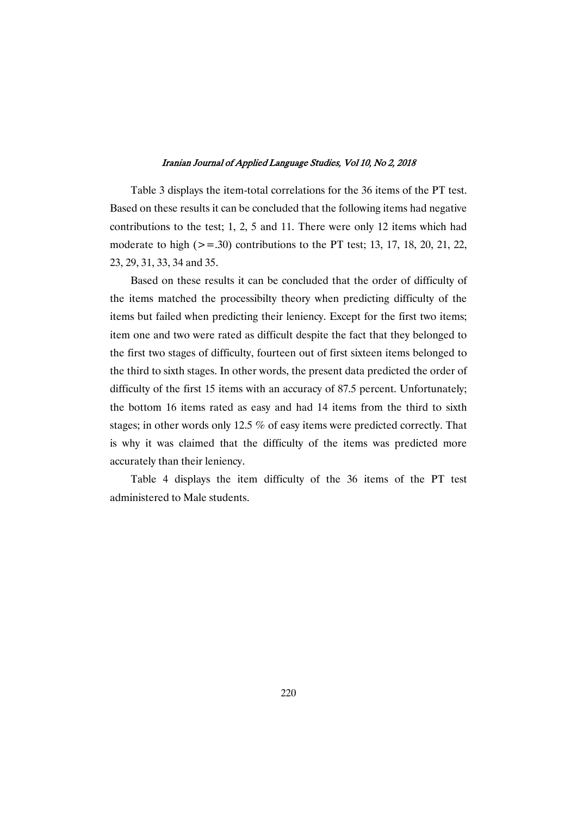Table 3 displays the item-total correlations for the 36 items of the PT test. Based on these results it can be concluded that the following items had negative contributions to the test;  $1, 2, 5$  and  $11$ . There were only 12 items which had moderate to high  $(>=.30)$  contributions to the PT test; 13, 17, 18, 20, 21, 22, 23,29,31,33,34and35.

Based on these results it can be concluded that the order of difficulty of the items matched the processibilty theory when predicting difficulty of the items but failed when predicting their leniency. Except for the first two items; item one and two were rated as difficult despite the fact that they belonged to the first two stages of difficulty, fourteen out of first sixteen items belonged to the third to sixth stages. In other words, the present data predicted the order of difficulty of the first 15 items with an accuracy of 87.5 percent. Unfortunately; the bottom 16 items rated as easy and had 14 items from the third to sixth stages; in other words only 12.5  $%$  of easy items were predicted correctly. That is why it was claimed that the difficulty of the items was predicted more accurately than their leniency.

Table 4 displays the item difficulty of the 36 items of the PT test administered to Male students.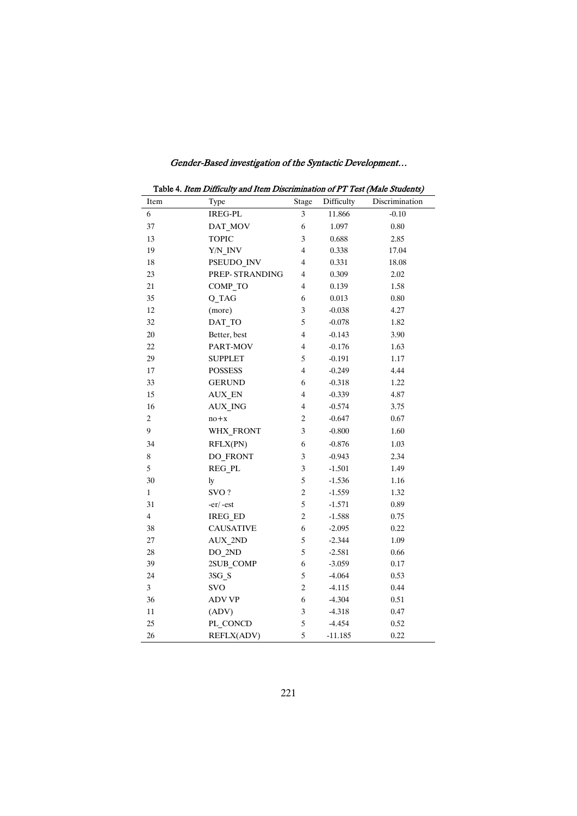| Table 4. Item Difficulty and Item Discrimination of PT Test (Male Students) |                  |                |            |                |
|-----------------------------------------------------------------------------|------------------|----------------|------------|----------------|
| Item                                                                        | Type             | <b>Stage</b>   | Difficulty | Discrimination |
| 6                                                                           | <b>IREG-PL</b>   | $\mathfrak{Z}$ | 11.866     | $-0.10$        |
| 37                                                                          | DAT_MOV          | 6              | 1.097      | 0.80           |
| 13                                                                          | <b>TOPIC</b>     | 3              | 0.688      | 2.85           |
| 19                                                                          | $Y/N$ _INV       | $\overline{4}$ | 0.338      | 17.04          |
| 18                                                                          | PSEUDO_INV       | $\overline{4}$ | 0.331      | 18.08          |
| 23                                                                          | PREP-STRANDING   | 4              | 0.309      | 2.02           |
| 21                                                                          | COMP_TO          | 4              | 0.139      | 1.58           |
| 35                                                                          | Q TAG            | 6              | 0.013      | 0.80           |
| 12                                                                          | (more)           | 3              | $-0.038$   | 4.27           |
| 32                                                                          | DAT_TO           | 5              | $-0.078$   | 1.82           |
| 20                                                                          | Better, best     | $\overline{4}$ | $-0.143$   | 3.90           |
| 22                                                                          | PART-MOV         | $\overline{4}$ | $-0.176$   | 1.63           |
| 29                                                                          | <b>SUPPLET</b>   | 5              | $-0.191$   | 1.17           |
| 17                                                                          | <b>POSSESS</b>   | $\overline{4}$ | $-0.249$   | 4.44           |
| 33                                                                          | <b>GERUND</b>    | 6              | $-0.318$   | 1.22           |
| 15                                                                          | <b>AUX_EN</b>    | $\overline{4}$ | $-0.339$   | 4.87           |
| 16                                                                          | <b>AUX ING</b>   | $\overline{4}$ | $-0.574$   | 3.75           |
| 2                                                                           | $no + x$         | $\overline{c}$ | $-0.647$   | 0.67           |
| 9                                                                           | WHX_FRONT        | 3              | $-0.800$   | 1.60           |
| 34                                                                          | RFLX(PN)         | 6              | $-0.876$   | 1.03           |
| $\,$ 8 $\,$                                                                 | DO_FRONT         | 3              | $-0.943$   | 2.34           |
| 5                                                                           | <b>REG PL</b>    | $\mathfrak{Z}$ | $-1.501$   | 1.49           |
| 30                                                                          | ly               | 5              | $-1.536$   | 1.16           |
| $\mathbf{1}$                                                                | SVO?             | $\overline{c}$ | $-1.559$   | 1.32           |
| 31                                                                          | $-er/-est$       | 5              | $-1.571$   | 0.89           |
| 4                                                                           | <b>IREG ED</b>   | $\sqrt{2}$     | $-1.588$   | 0.75           |
| 38                                                                          | <b>CAUSATIVE</b> | 6              | $-2.095$   | 0.22           |
| $27\,$                                                                      | AUX_2ND          | 5              | $-2.344$   | 1.09           |
| $28\,$                                                                      | $DO_2ND$         | 5              | $-2.581$   | 0.66           |
| 39                                                                          | 2SUB_COMP        | 6              | $-3.059$   | 0.17           |
| 24                                                                          | 3SG_S            | 5              | $-4.064$   | 0.53           |
| 3                                                                           | <b>SVO</b>       | $\overline{c}$ | $-4.115$   | 0.44           |
| 36                                                                          | <b>ADV VP</b>    | 6              | $-4.304$   | 0.51           |
| 11                                                                          | (ADV)            | 3              | $-4.318$   | 0.47           |
| 25                                                                          | PL CONCD         | 5              | $-4.454$   | 0.52           |
| 26                                                                          | REFLX(ADV)       | 5              | $-11.185$  | 0.22           |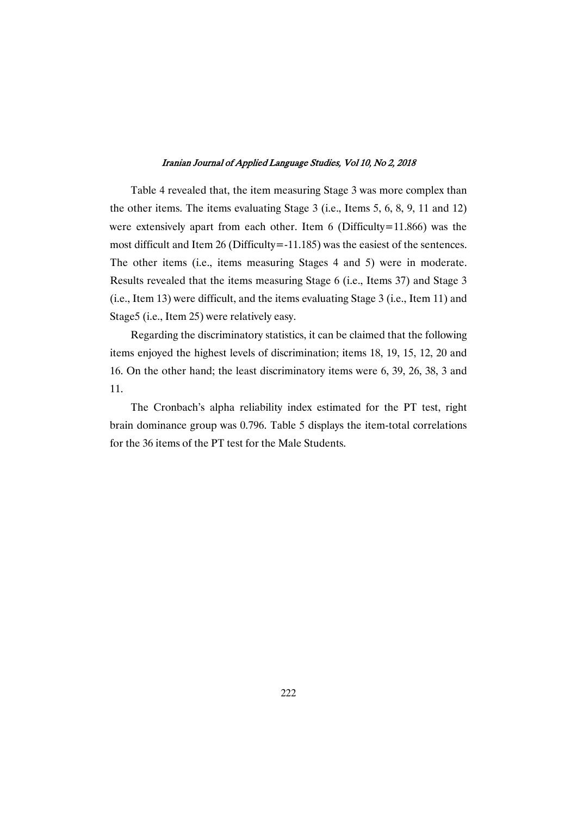Table 4 revealed that, the item measuring Stage 3 was more complex than the other items. The items evaluating Stage  $3$  (i.e., Items  $5, 6, 8, 9, 11$  and 12) were extensively apart from each other. Item 6 (Difficulty=11.866) was the most difficult and Item 26 (Difficulty=-11.185) was the easiest of the sentences. The other items (i.e., items measuring Stages 4 and 5) were in moderate. Results revealed that the items measuring Stage 6 (i.e., Items 37) and Stage 3  $(i.e., Item 13)$  were difficult, and the items evaluating Stage 3 (i.e., Item 11) and Stage5 (i.e., Item 25) were relatively easy.

Regarding the discriminatory statistics, it can be claimed that the following items enjoyed the highest levels of discrimination; items 18, 19, 15, 12, 20 and 16. On the other hand; the least discriminatory items were 6, 39, 26, 38, 3 and 11.

The Cronbach's alpha reliability index estimated for the PT test, right brain dominance group was 0.796. Table 5 displays the item-total correlations for the 36 items of the PT test for the Male Students.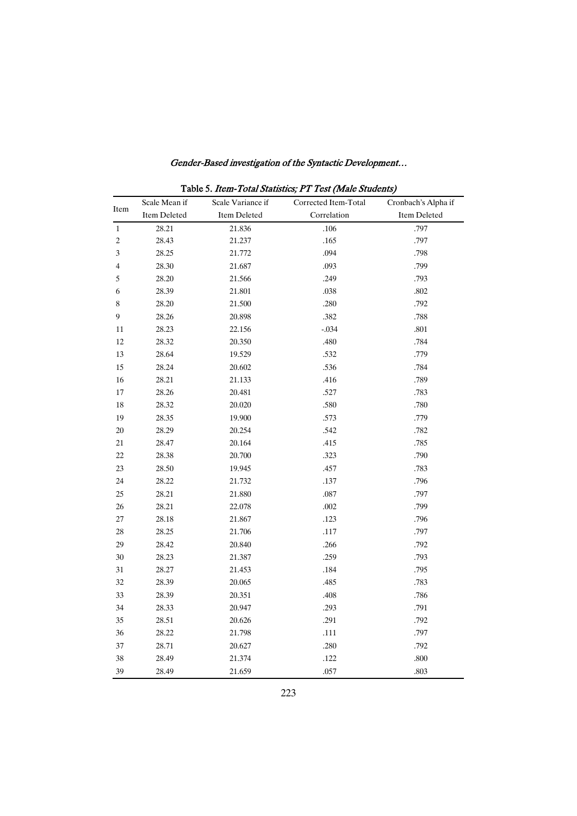|                | Scale Mean if | Scale Variance if | Corrected Item-Total | Cronbach's Alpha if |
|----------------|---------------|-------------------|----------------------|---------------------|
| Item           | Item Deleted  | Item Deleted      | Correlation          | Item Deleted        |
| $\mathbf{1}$   | 28.21         | 21.836            | .106                 | .797                |
| $\overline{c}$ | 28.43         | 21.237            | .165                 | .797                |
| 3              | 28.25         | 21.772            | .094                 | .798                |
| $\overline{4}$ | 28.30         | 21.687            | .093                 | .799                |
| 5              | 28.20         | 21.566            | .249                 | .793                |
| 6              | 28.39         | 21.801            | .038                 | .802                |
| 8              | 28.20         | 21.500            | .280                 | .792                |
| 9              | 28.26         | 20.898            | .382                 | .788                |
| 11             | 28.23         | 22.156            | $-.034$              | .801                |
| 12             | 28.32         | 20.350            | .480                 | .784                |
| 13             | 28.64         | 19.529            | .532                 | .779                |
| 15             | 28.24         | 20.602            | .536                 | .784                |
| 16             | 28.21         | 21.133            | .416                 | .789                |
| 17             | 28.26         | 20.481            | .527                 | .783                |
| 18             | 28.32         | 20.020            | .580                 | .780                |
| 19             | 28.35         | 19.900            | .573                 | .779                |
| $20\,$         | 28.29         | 20.254            | .542                 | .782                |
| $21\,$         | 28.47         | 20.164            | .415                 | .785                |
| $22\,$         | 28.38         | 20.700            | .323                 | .790                |
| 23             | 28.50         | 19.945            | .457                 | .783                |
| 24             | 28.22         | 21.732            | .137                 | .796                |
| $25\,$         | 28.21         | 21.880            | $.087$               | .797                |
| $26\,$         | 28.21         | 22.078            | .002                 | .799                |
| 27             | 28.18         | 21.867            | .123                 | .796                |
| 28             | 28.25         | 21.706            | $.117$               | .797                |
| 29             | 28.42         | 20.840            | .266                 | .792                |
| 30             | 28.23         | 21.387            | .259                 | .793                |
| 31             | 28.27         | 21.453            | .184                 | .795                |
| 32             | 28.39         | 20.065            | .485                 | .783                |
| 33             | 28.39         | 20.351            | .408                 | .786                |
| 34             | 28.33         | 20.947            | .293                 | .791                |
| 35             | 28.51         | 20.626            | .291                 | .792                |
| 36             | 28.22         | 21.798            | .111                 | .797                |
| 37             | 28.71         | 20.627            | .280                 | .792                |
| 38             | 28.49         | 21.374            | .122                 | .800                |
| 39             | 28.49         | 21.659            | .057                 | .803                |

Table 5. Item-Total Statistics; PT Test (Male Students)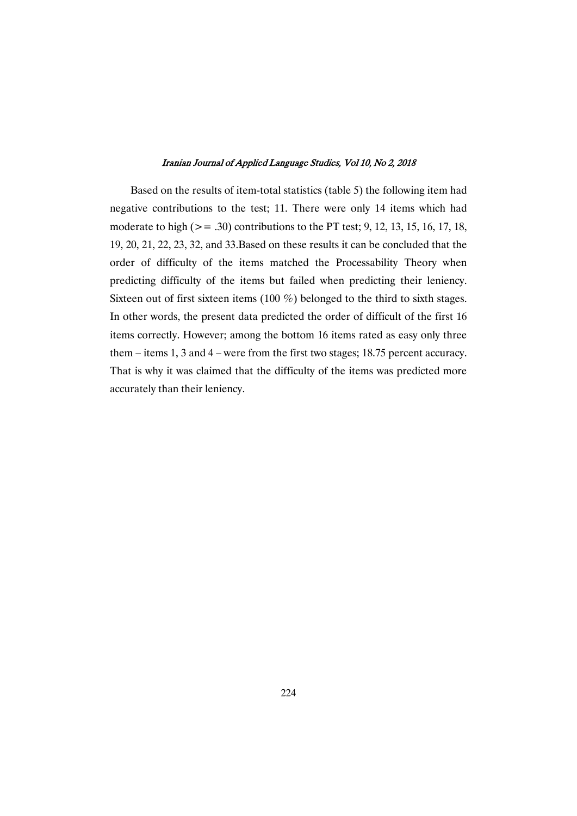Based on the results of item-total statistics (table 5) the following item had negative contributions to the test; 11. There were only 14 items which had moderate to high ( $> = .30$ ) contributions to the PT test; 9, 12, 13, 15, 16, 17, 18, 19, 20, 21, 22, 23, 32, and 33. Based on these results it can be concluded that the order of difficulty of the items matched the Processability Theory when predicting difficulty of the items but failed when predicting their leniency. Sixteen out of first sixteen items (100  $%$ ) belonged to the third to sixth stages. In other words, the present data predicted the order of difficult of the first 16 items correctly. However; among the bottom 16 items rated as easy only three them – items  $1, 3$  and  $4$  – were from the first two stages; 18.75 percent accuracy. That is why it was claimed that the difficulty of the items was predicted more accurately than their leniency.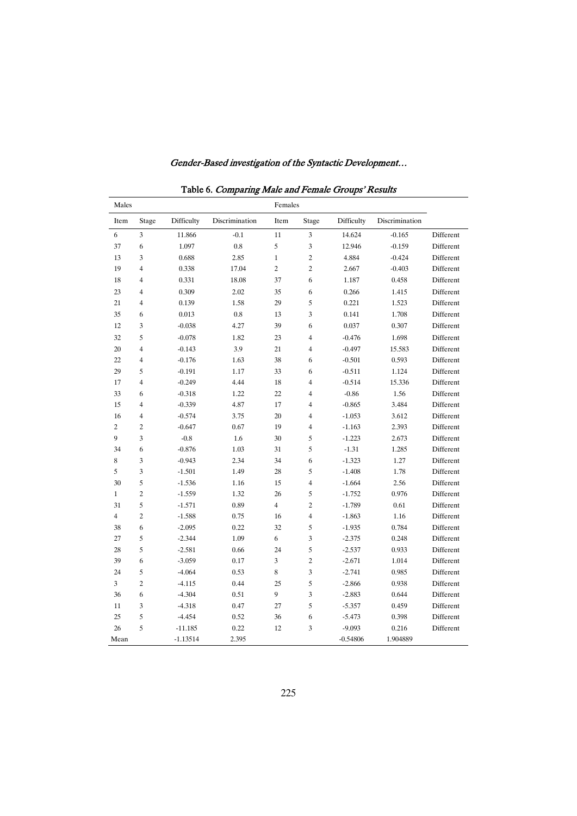| aoit o. Comparm <sub>5</sub><br>Males<br>Females |                             |            |                |                  |                             |            |                |           |
|--------------------------------------------------|-----------------------------|------------|----------------|------------------|-----------------------------|------------|----------------|-----------|
| Item                                             | Stage                       | Difficulty | Discrimination | Item             | Stage                       | Difficulty | Discrimination |           |
| 6                                                | 3                           | 11.866     | $-0.1$         | 11               | $\ensuremath{\mathfrak{Z}}$ | 14.624     | $-0.165$       | Different |
| 37                                               | $\sqrt{6}$                  | 1.097      | $0.8\,$        | 5                | $\ensuremath{\mathfrak{Z}}$ | 12.946     | $-0.159$       | Different |
| 13                                               | 3                           | 0.688      | 2.85           | $\,1\,$          | $\overline{\mathbf{c}}$     | 4.884      | $-0.424$       | Different |
| 19                                               | $\overline{4}$              | 0.338      | 17.04          | $\overline{c}$   | $\overline{\mathbf{c}}$     | 2.667      | $-0.403$       | Different |
| 18                                               | 4                           | 0.331      | 18.08          | 37               | 6                           | 1.187      | 0.458          | Different |
| 23                                               | 4                           | 0.309      | 2.02           | 35               | $\sqrt{6}$                  | 0.266      | 1.415          | Different |
| 21                                               | 4                           | 0.139      | 1.58           | 29               | 5                           | 0.221      | 1.523          | Different |
| 35                                               | 6                           | 0.013      | $\rm 0.8$      | 13               | 3                           | 0.141      | 1.708          | Different |
| 12                                               | 3                           | $-0.038$   | 4.27           | 39               | $\boldsymbol{6}$            | 0.037      | 0.307          | Different |
| 32                                               | 5                           | $-0.078$   | 1.82           | $23\,$           | $\overline{\mathbf{4}}$     | $-0.476$   | 1.698          | Different |
| 20                                               | $\overline{\mathbf{4}}$     | $-0.143$   | 3.9            | $21\,$           | 4                           | $-0.497$   | 15.583         | Different |
| 22                                               | $\overline{\mathcal{L}}$    | $-0.176$   | 1.63           | 38               | $\sqrt{6}$                  | $-0.501$   | 0.593          | Different |
| 29                                               | 5                           | $-0.191$   | 1.17           | 33               | $\sqrt{6}$                  | $-0.511$   | 1.124          | Different |
| 17                                               | $\overline{4}$              | $-0.249$   | 4.44           | $18\,$           | 4                           | $-0.514$   | 15.336         | Different |
| 33                                               | 6                           | $-0.318$   | 1.22           | $22\,$           | $\overline{\mathcal{A}}$    | $-0.86$    | 1.56           | Different |
| 15                                               | 4                           | $-0.339$   | 4.87           | 17               | 4                           | $-0.865$   | 3.484          | Different |
| 16                                               | 4                           | $-0.574$   | 3.75           | $20\,$           | $\overline{\mathbf{4}}$     | $-1.053$   | 3.612          | Different |
| $\boldsymbol{2}$                                 | $\overline{\mathbf{c}}$     | $-0.647$   | 0.67           | 19               | 4                           | $-1.163$   | 2.393          | Different |
| 9                                                | 3                           | $-0.8$     | 1.6            | 30               | 5                           | $-1.223$   | 2.673          | Different |
| 34                                               | 6                           | $-0.876$   | 1.03           | 31               | 5                           | $-1.31$    | 1.285          | Different |
| 8                                                | 3                           | $-0.943$   | 2.34           | 34               | 6                           | $-1.323$   | 1.27           | Different |
| 5                                                | $\overline{\mathbf{3}}$     | $-1.501$   | 1.49           | $28\,$           | $\sqrt{5}$                  | $-1.408$   | 1.78           | Different |
| 30                                               | 5                           | $-1.536$   | $1.16\,$       | $15\,$           | $\overline{\mathbf{4}}$     | $-1.664$   | 2.56           | Different |
| $\mathbf{1}$                                     | $\overline{c}$              | $-1.559$   | 1.32           | $26\,$           | 5                           | $-1.752$   | 0.976          | Different |
| 31                                               | $\sqrt{5}$                  | $-1.571$   | 0.89           | $\overline{4}$   | $\sqrt{2}$                  | $-1.789$   | 0.61           | Different |
| $\overline{4}$                                   | $\overline{\mathbf{c}}$     | $-1.588$   | 0.75           | 16               | $\overline{\mathbf{4}}$     | $-1.863$   | 1.16           | Different |
| 38                                               | $\sqrt{6}$                  | $-2.095$   | 0.22           | $32\,$           | $\sqrt{5}$                  | $-1.935$   | 0.784          | Different |
| 27                                               | $\sqrt{5}$                  | $-2.344$   | 1.09           | $\sqrt{6}$       | $\mathfrak{Z}$              | $-2.375$   | 0.248          | Different |
| 28                                               | 5                           | $-2.581$   | 0.66           | 24               | 5                           | $-2.537$   | 0.933          | Different |
| 39                                               | $\sqrt{6}$                  | $-3.059$   | 0.17           | $\mathfrak{Z}$   | $\sqrt{2}$                  | $-2.671$   | 1.014          | Different |
| 24                                               | 5                           | $-4.064$   | 0.53           | $\,$ 8 $\,$      | $\overline{\mathbf{3}}$     | $-2.741$   | 0.985          | Different |
| 3                                                | $\,2\,$                     | $-4.115$   | 0.44           | 25               | 5                           | $-2.866$   | 0.938          | Different |
| 36                                               | 6                           | $-4.304$   | $0.51\,$       | $\boldsymbol{9}$ | 3                           | $-2.883$   | 0.644          | Different |
| 11                                               | $\ensuremath{\mathfrak{Z}}$ | $-4.318$   | 0.47           | $27\,$           | 5                           | $-5.357$   | 0.459          | Different |
| 25                                               | 5                           | $-4.454$   | 0.52           | 36               | $\sqrt{6}$                  | $-5.473$   | 0.398          | Different |
| 26                                               | 5                           | $-11.185$  | 0.22           | $12\,$           | 3                           | $-9.093$   | 0.216          | Different |
| Mean                                             |                             | $-1.13514$ | 2.395          |                  |                             | $-0.54806$ | 1.904889       |           |

Table 6. Comparing Male and Female Groups' Results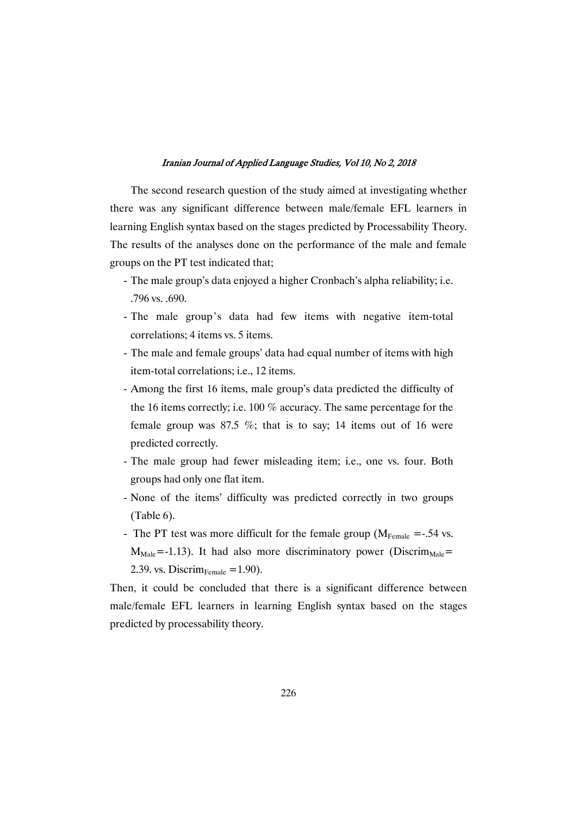The second research question of the study aimed at investigating whether there was any significant difference between male/female EFL learners in learning English syntax based on the stages predicted by Processability Theory. The results of the analyses done on the performance of the male and female groups on the PT test indicated that;

- The male group's data enjoyed a higher Cronbach's alpha reliability; i.e. .796vs..690.
- The male group's data had few items with negative item-total correlations; 4 items vs. 5 items.
- The male and female groups' data had equal number of items with high item-total correlations; i.e., 12 items.
- Among the first 16 items, male group's data predicted the difficulty of the 16 items correctly; i.e. 100  $%$  accuracy. The same percentage for the female group was  $87.5\%$ ; that is to say; 14 items out of 16 were predicted correctly.
- The male group had fewer misleading item; i.e., one vs. four. Both groups had only one flat item.
- None of the items' difficulty was predicted correctly in two groups  $(Table 6)$ .
- The PT test was more difficult for the female group ( $M_{Female}$  =-.54 vs.  $M_{\text{Male}}$ =-1.13). It had also more discriminatory power (Discrim<sub>Male</sub>= 2.39. vs. Discrim $_{\text{Female}} = 1.90$ ).

Then, it could be concluded that there is a significant difference between male/female EFL learners in learning English syntax based on the stages predicted by processability theory.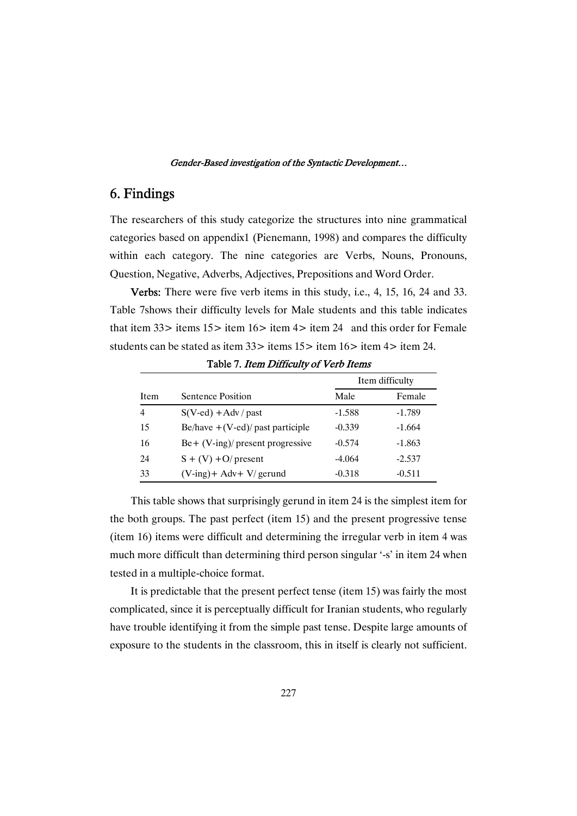# 6.Findings

The researchers of this study categorize the structures into nine grammatical categories based on appendix1 (Pienemann, 1998) and compares the difficulty within each category. The nine categories are Verbs, Nouns, Pronouns, Question, Negative, Adverbs, Adjectives, Prepositions and Word Order.

Verbs: There were five verb items in this study, i.e., 4, 15, 16, 24 and 33. Table 7shows their difficulty levels for Male students and this table indicates that item  $33$  items  $15$  item  $16$  item  $4$  item  $24$  and this order for Female students can be stated as item  $33$  items  $15$  item  $16$  item  $4$  item 24.

|      |                                     | Item difficulty |          |  |
|------|-------------------------------------|-----------------|----------|--|
| Item | Sentence Position                   | Male            | Female   |  |
| 4    | $S(V$ -ed) + Adv / past             | $-1.588$        | $-1.789$ |  |
| 15   | Be/have $+(V$ -ed)/ past participle | $-0.339$        | $-1.664$ |  |
| 16   | $Be + (V-ing)/$ present progressive | $-0.574$        | $-1.863$ |  |
| 24   | $S + (V) + O$ present               | $-4.064$        | $-2.537$ |  |
| 33   | $(V\text{-ing})$ + Adv + V/ gerund  | $-0.318$        | $-0.511$ |  |

Table 7. Item Difficulty of Verb Items

This table shows that surprisingly gerund in item 24 is the simplest item for the both groups. The past perfect (item 15) and the present progressive tense (item  $16$ ) items were difficult and determining the irregular verb in item  $4$  was much more difficult than determining third person singular '-s' in item 24 when tested in a multiple-choice format.

It is predictable that the present perfect tense (item 15) was fairly the most complicated, since it is perceptually difficult for Iranian students, who regularly have trouble identifying it from the simple past tense. Despite large amounts of exposure to the students in the classroom, this in itself is clearly not sufficient.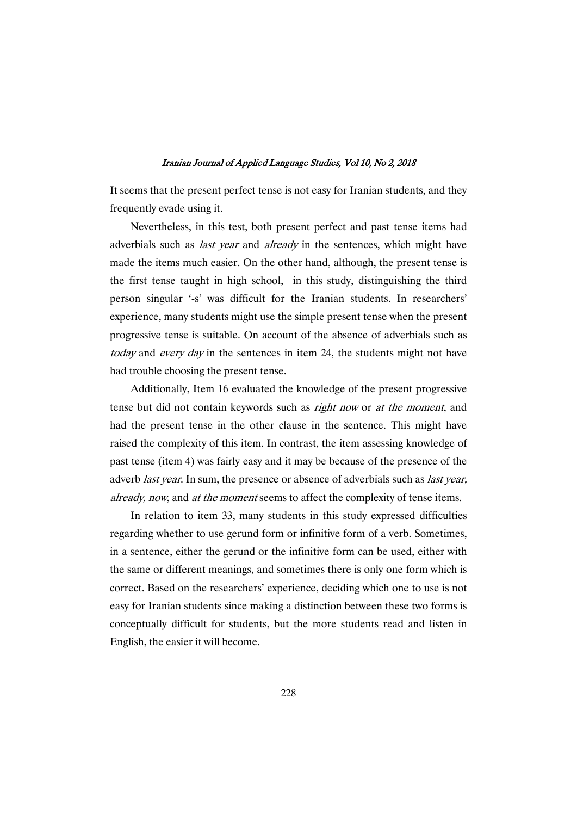It seems that the present perfect tense is not easy for Iranian students, and they frequently evade using it.

Nevertheless, in this test, both present perfect and past tense items had adverbials such as *last year* and *already* in the sentences, which might have made the items much easier. On the other hand, although, the present tense is the first tense taught in high school, in this study, distinguishing the third person singular '-s' was difficult for the Iranian students. In researchers' experience, many students might use the simple present tense when the present progressive tense is suitable. On account of the absence of adverbials such as today and every day in the sentences in item 24, the students might not have had trouble choosing the present tense.

Additionally, Item 16 evaluated the knowledge of the present progressive tense but did not contain keywords such as *right now* or at the moment, and had the present tense in the other clause in the sentence. This might have raised the complexity of this item. In contrast, the item assessing knowledge of past tense (item 4) was fairly easy and it may be because of the presence of the adverb *last year*. In sum, the presence or absence of adverbials such as *last year*, already, now, and at the moment seems to affect the complexity of tense items.

In relation to item 33, many students in this study expressed difficulties regarding whether to use gerund form or infinitive form of a verb. Sometimes, in a sentence, either the gerund or the infinitive form can be used, either with the same or different meanings, and sometimes there is only one form which is correct. Based on the researchers' experience, deciding which one to use is not easy for Iranian students since making a distinction between these two forms is conceptually difficult for students, but the more students read and listen in English, the easier it will become.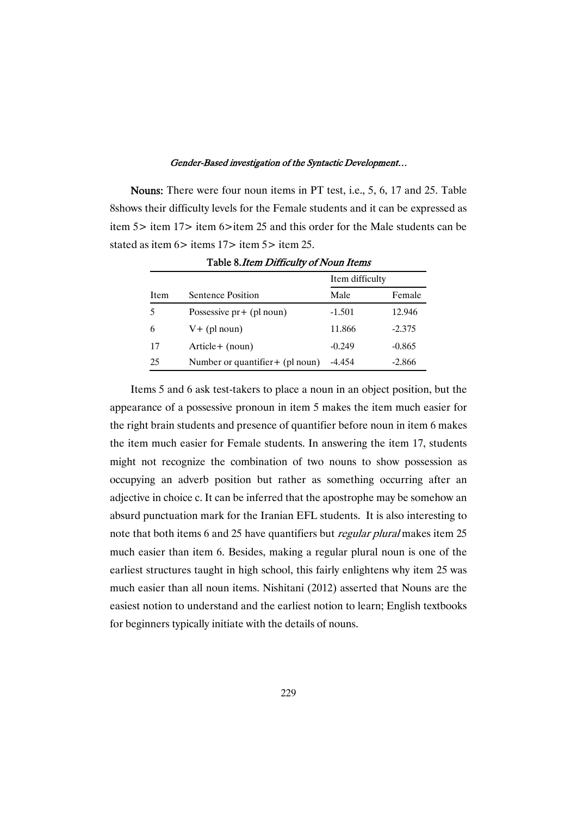Nouns: There were four noun items in PT test, i.e., 5, 6, 17 and 25. Table 8shows their difficulty levels for the Female students and it can be expressed as item 5> item 17> item 6>item 25 and this order for the Male students can be stated as item  $6 >$  items  $17 >$  item  $5 >$  item  $25$ .

|      |                                  | Item difficulty |          |  |
|------|----------------------------------|-----------------|----------|--|
| Item | Sentence Position                | Male            | Female   |  |
| 5    | Possessive $pr + (pl \n0$        | $-1.501$        | 12.946   |  |
| 6    | $V+$ (pl noun)                   | 11.866          | $-2.375$ |  |
| 17   | $Article + (noun)$               | $-0.249$        | $-0.865$ |  |
| 25   | Number or quantifier + (pl noun) | -4.454          | $-2.866$ |  |

Table 8.*Item Difficulty of Noun Items* 

Items 5 and 6 ask test-takers to place a noun in an object position, but the appearance of a possessive pronoun in item 5 makes the item much easier for the right brain students and presence of quantifier before noun in item 6 makes the item much easier for Female students. In answering the item 17, students might not recognize the combination of two nouns to show possession as occupying an adverb position but rather as something occurring after an adjective in choice c. It can be inferred that the apostrophe may be somehow an absurd punctuation mark for the Iranian EFL students. It is also interesting to note that both items 6 and 25 have quantifiers but regular plural makes item 25 much easier than item 6. Besides, making a regular plural noun is one of the earliest structures taught in high school, this fairly enlightens why item 25 was much easier than all noun items. Nishitani (2012) asserted that Nouns are the easiest notion to understand and the earliest notion to learn; English textbooks for beginners typically initiate with the details of nouns.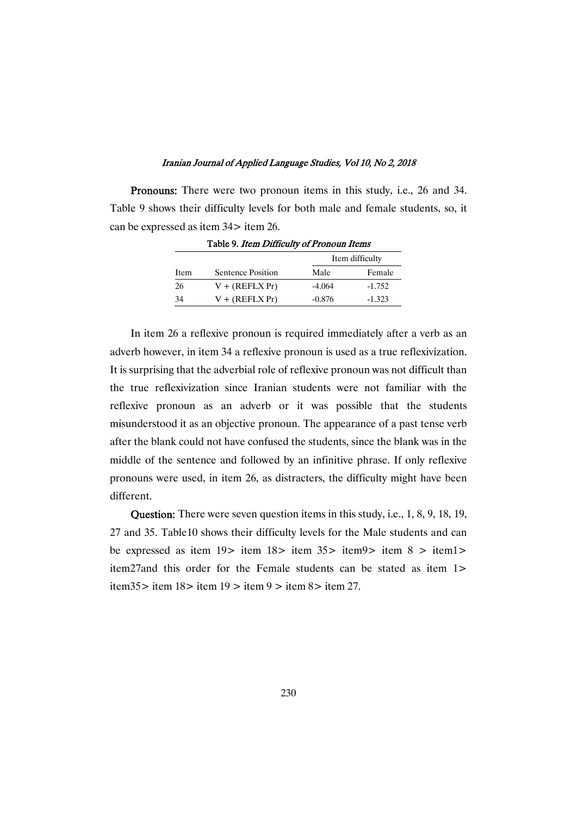Pronouns: There were two pronoun items in this study, i.e., 26 and 34. Table 9 shows their difficulty levels for both male and female students, so, it can be expressed as item  $34$  item 26.

|      |                   |          | Item difficulty |
|------|-------------------|----------|-----------------|
| Item | Sentence Position | Male     | Female          |
| 26   | $V + (REFLX Pr)$  | $-4.064$ | $-1.752$        |
| 34   | $V + (REFLX Pr)$  | $-0.876$ | $-1.323$        |

Table 9. Item Difficulty of Pronoun Items

In item 26 a reflexive pronoun is required immediately after a verb as an adverb however, in item 34 a reflexive pronoun is used as a true reflexivization. It is surprising that the adverbial role of reflexive pronoun was not difficult than the true reflexivization since Iranian students were not familiar with the reflexive pronoun as an adverb or it was possible that the students misunderstood it as an objective pronoun. The appearance of a past tense verb after the blank could not have confused the students, since the blank was in the middle of the sentence and followed by an infinitive phrase. If only reflexive pronouns were used, in item 26, as distracters, the difficulty might have been different.

**Question:** There were seven question items in this study, i.e., 1, 8, 9, 18, 19, 27 and 35. Table10 shows their difficulty levels for the Male students and can be expressed as item 19> item 18> item 35> item9> item 8 > item1> item27and this order for the Female students can be stated as item 1> item35> item 18> item 19 > item 9 > item 8> item 27.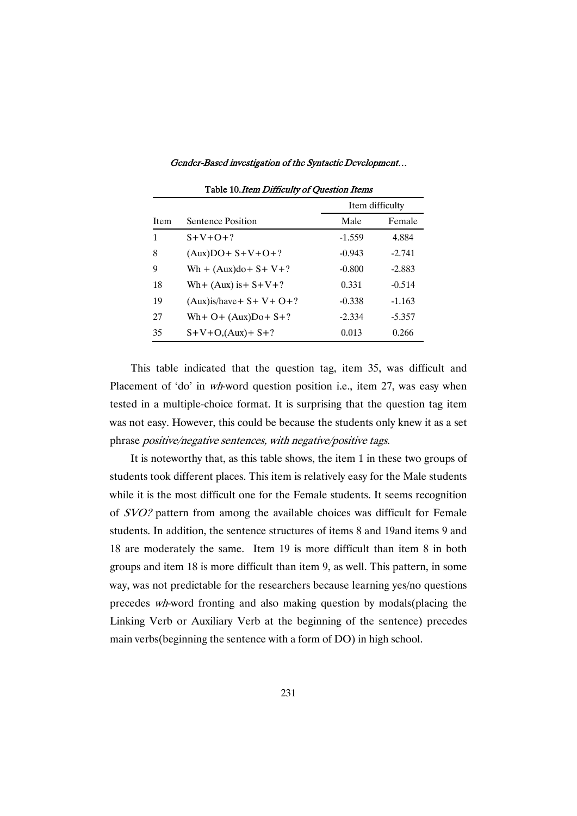|      |                                 | Item difficulty |          |  |
|------|---------------------------------|-----------------|----------|--|
| Item | Sentence Position               | Male            | Female   |  |
| 1    | $S+V+O+?$                       | $-1.559$        | 4.884    |  |
| 8    | $(Aux)DO + S + V + O + ?$       | $-0.943$        | $-2.741$ |  |
| 9    | $Wh + (Aux)do + S + V + ?$      | $-0.800$        | $-2.883$ |  |
| 18   | Wh+ $(Aux)$ is + $S+V+?$        | 0.331           | $-0.514$ |  |
| 19   | $(Aux)$ is/have + S + V + O + ? | $-0.338$        | $-1.163$ |  |
| 27   | Wh+ $O+$ (Aux) $Do+ S+?$        | $-2.334$        | $-5.357$ |  |
| 35   | $S+V+O$ , $(Aux)+S+?$           | 0.013           | 0.266    |  |

Table 10. Item Difficulty of Question Items

This table indicated that the question tag, item 35, was difficult and Placement of 'do' in wh-word question position i.e., item 27, was easy when tested in a multiple-choice format. It is surprising that the question tag item was not easy. However, this could be because the students only knew it as a set phrase positive/negative sentences, with negative/positive tags.

It is noteworthy that, as this table shows, the item 1 in these two groups of students took different places. This item is relatively easy for the Male students while it is the most difficult one for the Female students. It seems recognition of SVO? pattern from among the available choices was difficult for Female students. In addition, the sentence structures of items 8 and 19and items 9 and 18 are moderately the same. Item 19 is more difficult than item 8 in both groups and item 18 is more difficult than item 9, as well. This pattern, in some way, was not predictable for the researchers because learning yes/no questions precedes wh-word fronting and also making question by modals(placing the Linking Verb or Auxiliary Verb at the beginning of the sentence) precedes main verbs(beginning the sentence with a form of DO) in high school.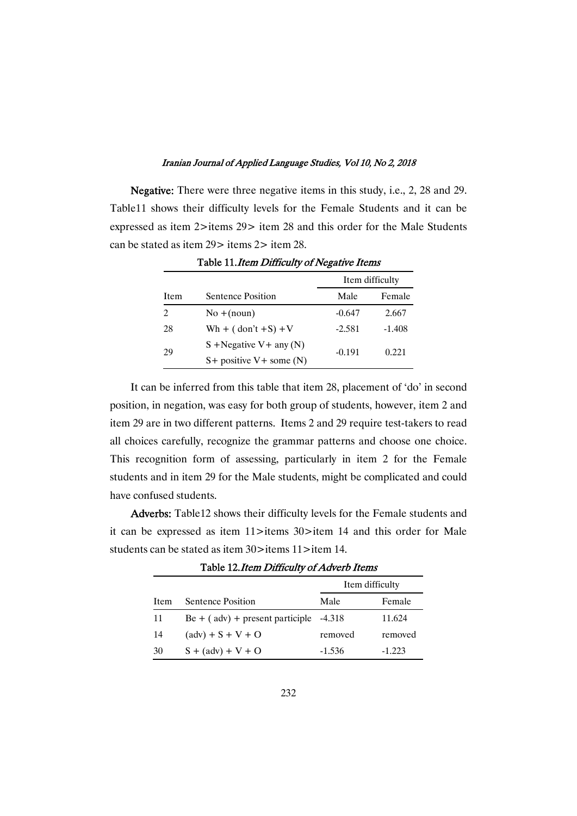Negative: There were three negative items in this study, i.e., 2, 28 and 29. Table11 shows their difficulty levels for the Female Students and it can be expressed as item 2>items 29> item 28 and this order for the Male Students can be stated as item 29 > items 2 > item 28.

|                | $\sim$ wore introduced and $\sim$ matrix wavelengthere in the matrix of the station of $\sim$ |                 |          |  |
|----------------|-----------------------------------------------------------------------------------------------|-----------------|----------|--|
|                |                                                                                               | Item difficulty |          |  |
| Item           | Sentence Position                                                                             | Male            | Female   |  |
| $\mathfrak{D}$ | $No + (noun)$                                                                                 | $-0.647$        | 2.667    |  |
| 28             | Wh + $($ don't +S $)$ +V                                                                      | $-2.581$        | $-1.408$ |  |
|                | $S + Negative V + any (N)$                                                                    | $-0.191$        |          |  |
| 29             | $S$ + positive V + some (N)                                                                   |                 | 0.221    |  |

Table 11. Item Difficulty of Negative Items

It can be inferred from this table that item 28, placement of 'do' in second position, in negation, was easy for both group of students, however, item 2 and item 29 are in two different patterns. Items 2 and 29 require test-takers to read all choices carefully, recognize thegrammar patterns and choose one choice. This recognition form of assessing, particularly in item 2 for the Female students and in item 29 for the Male students, might be complicated and could have confused students.

Adverbs: Table12 shows their difficulty levels for the Female students and it can be expressed as item 11>items 30>item 14 and this order for Male students can be stated as item 30>items 11>item 14.

|      | Table 12.1 can Dancenty of Advertishments |          |          |
|------|-------------------------------------------|----------|----------|
|      | Item difficulty                           |          |          |
| Item | Sentence Position                         | Male     | Female   |
| 11   | $Be + (adv) + present particle$           | -4.318   | 11.624   |
| 14   | $(adv) + S + V + O$                       | removed  | removed  |
| 30   | $S + (adv) + V + O$                       | $-1.536$ | $-1.223$ |

Table 12. Item Difficulty of Adverb Items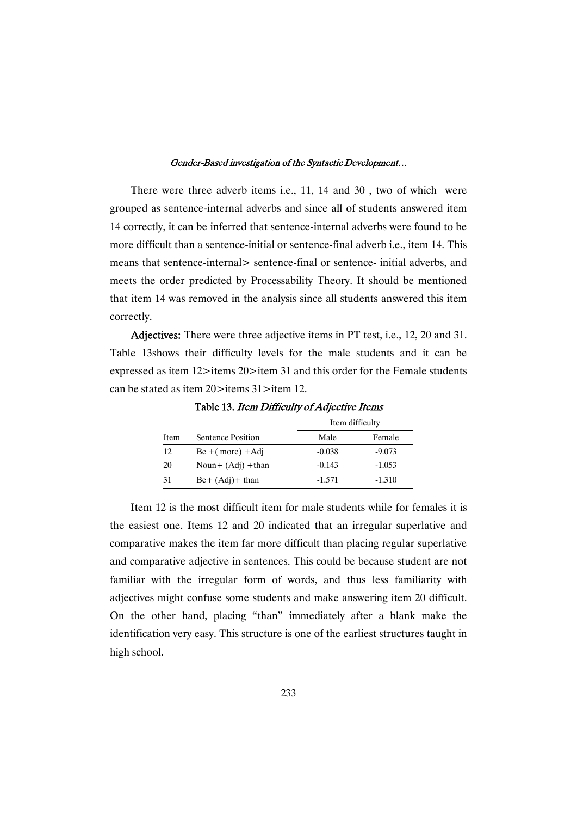There were three adverb items i.e., 11, 14 and 30 , two of which were groupedas sentence-internaladverbsand sinceallof studentsanswereditem 14 correctly, it can be inferred that sentence-internal adverbs were found to be more difficult than a sentence-initial or sentence-final adverb *i.e.*, item 14. This means that sentence-internal> sentence-final or sentence- initial adverbs, and meets the order predicted by Processability Theory. It should be mentioned that item 14 was removed in the analysis since all students answered this item correctly.

Adjectives: There were three adjective items in PT test, i.e., 12, 20 and 31. Table 13shows their difficulty levels for the male students and it can be expressed as item 12>items 20>item 31 and this order for the Female students can be stated as item  $20 >$ items  $31 >$ item 12.

|      |                     | Item difficulty |          |
|------|---------------------|-----------------|----------|
| Item | Sentence Position   | Male            | Female   |
| 12   | $Be + (more) + Adj$ | $-0.038$        | $-9.073$ |
| 20   | Noun+ $(Adj)$ +than | $-0.143$        | $-1.053$ |
| 31   | $Be+ (Adj)+ than$   | $-1.571$        | $-1.310$ |

Table 13. Item Difficulty of Adjective Items

Item 12 is the most difficult item for male students while for females it is the easiest one. Items 12 and 20 indicated that an irregular superlative and comparative makes the item far more difficult than placing regular superlative and comparative adjective in sentences. This could be because student are not familiar with the irregular form of words, and thus less familiarity with adjectives might confuse some students and make answering item 20 difficult. On the other hand, placing "than" immediately after a blank make the identification very easy. This structure is one of the earliest structures taught in high school.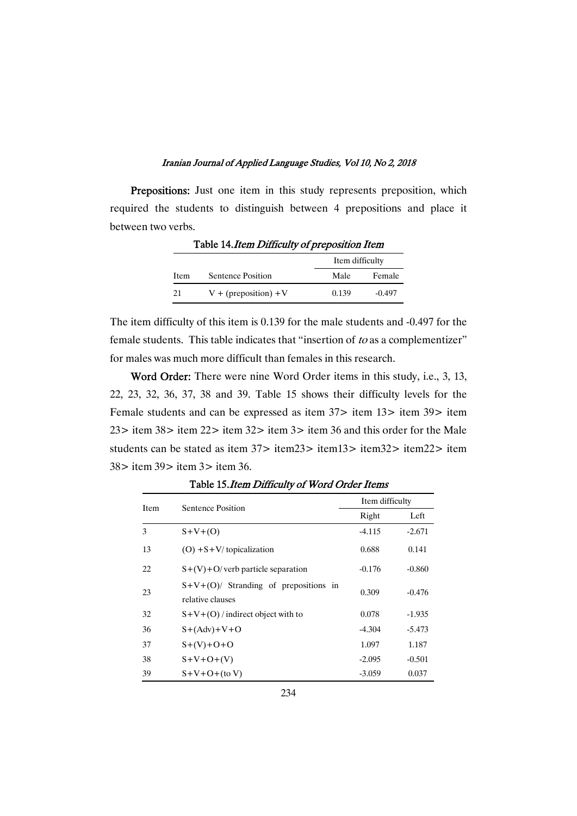Prepositions: Just one item in this study represents preposition, which required the students to distinguish between 4 prepositions and place it between two verbs.

|      |                         | Item difficulty |          |
|------|-------------------------|-----------------|----------|
| Item | Sentence Position       | Male            | Female   |
| 21   | $V + (preposition) + V$ | 0.139           | $-0.497$ |

Table 14. Item Difficulty of preposition Item

The item difficulty of this item is 0.139 for the male students and -0.497 for the female students. This table indicates that "insertion of  $to$  as a complementizer" for males was much more difficult than females in this research.

Word Order: There were nine Word Order items in this study, i.e., 3, 13, 22, 23, 32, 36, 37, 38 and 39. Table 15 shows their difficulty levels for the Female students and can be expressed as item 37> item 13> item 39> item 23> item 38> item 22> item 32> item 3> item 36 and this order for the Male students can be stated as item 37> item23> item13> item32> item22> item 38>item39>item3>item36.

| <b>Item</b> | Sentence Position                                          | Item difficulty |          |
|-------------|------------------------------------------------------------|-----------------|----------|
|             |                                                            | Right           | Left     |
| 3           | $S+V+(O)$                                                  | $-4.115$        | $-2.671$ |
| 13          | $(O) + S + V$ topicalization                               | 0.688           | 0.141    |
| 22          | $S+(V)+O$ verb particle separation                         | $-0.176$        | $-0.860$ |
| 23          | $S+V+(O)$ Stranding of prepositions in<br>relative clauses | 0.309           | $-0.476$ |
| 32          | $S+V+(O)$ / indirect object with to                        | 0.078           | $-1.935$ |
| 36          | $S+(Adv)+V+O$                                              | $-4.304$        | $-5.473$ |
| 37          | $S+(V)+O+O$                                                | 1.097           | 1.187    |
| 38          | $S+V+O+(V)$                                                | $-2.095$        | $-0.501$ |
| 39          | $S+V+O+(to V)$                                             | $-3.059$        | 0.037    |

Table 15. Item Difficulty of Word Order Items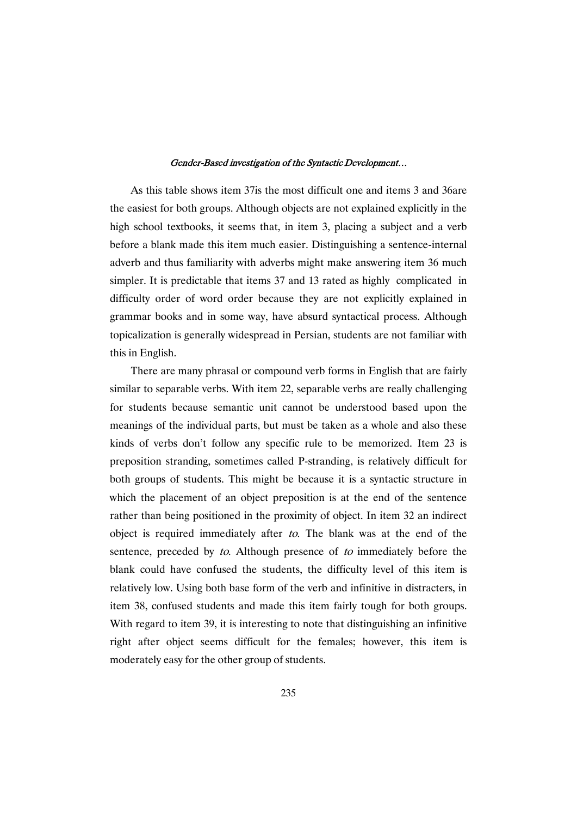As this table shows item 37 is the most difficult one and items 3 and 36 are the easiest for both groups. Although objects are not explained explicitly in the high school textbooks, it seems that, in item 3, placing a subject and a verb before a blank made this item much easier. Distinguishing a sentence-internal adverb and thus familiarity with adverbs might make answering item 36 much simpler. It is predictable that items 37 and 13 rated as highly complicated in difficulty order of word order because they are not explicitly explained in grammar books and in some way, have absurd syntactical process. Although topicalization is generally widespread in Persian, students are not familiar with this in English.

There are many phrasal or compound verb forms in English that are fairly similar to separable verbs. With item 22, separable verbs are really challenging for students because semantic unit cannot be understood based upon the meanings of the individual parts, but must be taken as a whole and also these kinds of verbs don't follow any specific rule to be memorized. Item 23 is preposition stranding, sometimes called P-stranding, is relatively difficult for both groups of students. This might be because it is a syntactic structure in which the placement of an object preposition is at the end of the sentence rather than being positioned in the proximity of object. In item 32 an indirect object is required immediately after to. The blank was at the end of the sentence, preceded by to. Although presence of to immediately before the blank could have confused the students, the difficulty level of this item is relatively low. Using both base form of the verb and infinitive in distracters, in item 38, confused students and made this item fairly tough for both groups. With regard to item 39, it is interesting to note that distinguishing an infinitive right after object seems difficult for the females; however, this item is moderately easy for the other group of students.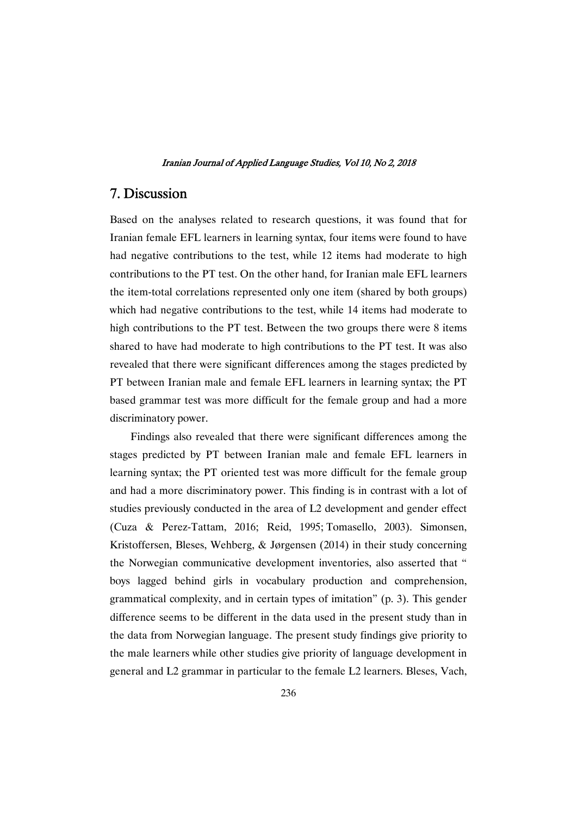### 7.Discussion

Based on the analyses related to research questions, it was found that for Iranian female EFL learners in learning syntax, four items were found to have had negative contributions to the test, while 12 items had moderate to high contributions to the PT test. On the other hand, for Iranian male EFL learners the item-total correlations represented only one item (shared by both groups) which had negative contributions to the test, while 14 items had moderate to high contributions to the PT test. Between the two groups there were 8 items shared to have had moderate to high contributions to the PT test. It was also revealed that there were significant differences among the stages predicted by PT between Iranian male and female EFL learners in learning syntax; the PT based grammar test was more difficult for the female group and had a more discriminatory power.

Findings also revealed that there were significant differences among the stages predicted by PT between Iranian male and female EFL learners in learning syntax; the PT oriented test was more difficult for the female group and had a more discriminatory power. This finding is in contrast with a lot of studies previously conducted in the area of L2 development and gender effect (Cuza & Perez-Tattam, 2016; Reid, 1995;Tomasello, 2003). Simonsen, Kristoffersen, Bleses, Wehberg, & Jørgensen (2014) in their study concerning the Norwegian communicative development inventories, also asserted that " boys lagged behind girls in vocabulary production and comprehension, grammatical complexity, and in certain types of imitation" (p. 3). This gender difference seems to be different in the data used in the present study than in the data from Norwegian language. The present study findings give priority to the male learners while other studies give priority of language development in general and L2 grammar in particular to the female L2 learners. Bleses, Vach,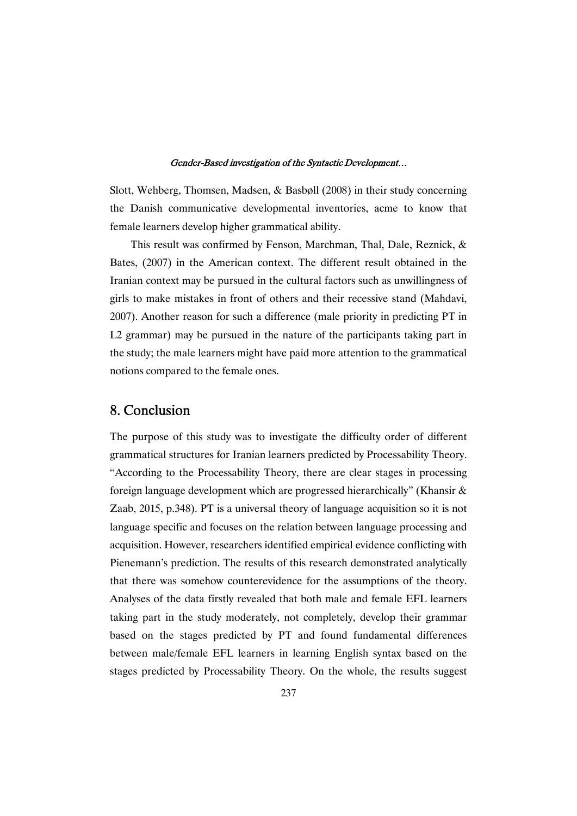Slott, Wehberg, Thomsen, Madsen, & Basbøll (2008) in their study concerning the Danish communicative developmental inventories, acme to know that female learners develop higher grammatical ability.

This result was confirmed by Fenson, Marchman, Thal, Dale, Reznick, & Bates, (2007) in the American context. The different result obtained in the Iranian context may be pursued in the cultural factors such as unwillingness of girls to make mistakes in front of others and their recessive stand (Mahdavi, 2007). Another reason for such a difference (male priority in predicting PT in  $L2$  grammar) may be pursued in the nature of the participants taking part in the study; the male learners might have paid more attention to the grammatical notions compared to the female ones.

### 8.Conclusion

The purpose of this study was to investigate the difficulty order of different grammatical structures for Iranian learners predicted by Processability Theory. "According to the Processability Theory, there are clear stages in processing foreign language development which are progressed hierarchically" (Khansir  $\&$ Zaab, 2015, p.348). PT is a universal theory of language acquisition so it is not language specific and focuses on the relation between language processing and acquisition. However, researchers identified empirical evidence conflicting with Pienemann's prediction. The results of this research demonstrated analytically that there was somehow counterevidence for the assumptions of the theory. Analyses of the data firstly revealed that both male and female EFL learners taking part in the study moderately, not completely, develop their grammar based on the stages predicted by PT and found fundamental differences between male/female EFL learners in learning English syntax based on the stages predicted by Processability Theory. On the whole, the results suggest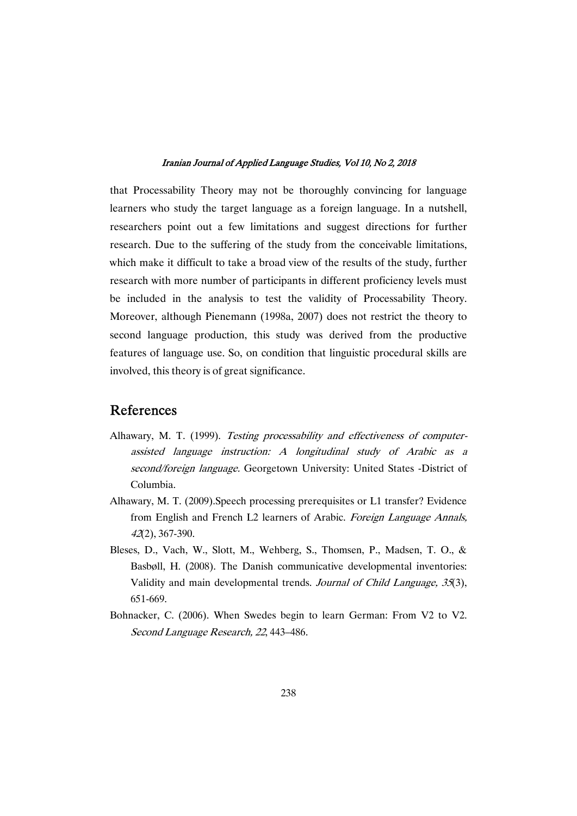that Processability Theory may not be thoroughly convincing for language learners who study the target language as a foreign language. In a nutshell, researchers point out a few limitations and suggest directions for further research. Due to the suffering of the study from the conceivable limitations, which make it difficult to take a broad view of the results of the study, further research with more number of participants in different proficiency levels must be included in the analysis to test the validity of Processability Theory. Moreover, although Pienemann (1998a, 2007) does not restrict the theory to second language production, this study was derived from the productive features of language use. So, on condition that linguistic procedural skills are involved, this theory is of great significance.

### References

- Alhawary, M. T. (1999). Testing processability and effectiveness of computerassisted language instruction: A longitudinal study of Arabic as a second/foreign language. Georgetown University: United States -District of Columbia.
- Alhawary, M. T. (2009). Speech processing prerequisites or L1 transfer? Evidence from English and French L2 learners of Arabic. Foreign Language Annals, <sup>42</sup>(2),367-390.
- Bleses, D., Vach, W., Slott, M., Wehberg, S., Thomsen, P., Madsen, T. O., & Basbøll, H. (2008). The Danish communicative developmental inventories: Validity and main developmental trends. Journal of Child Language, 35(3), 651-669.
- Bohnacker, C. (2006). When Swedes begin to learn German: From V2 to V2. Second Language Research, 22, 443–486.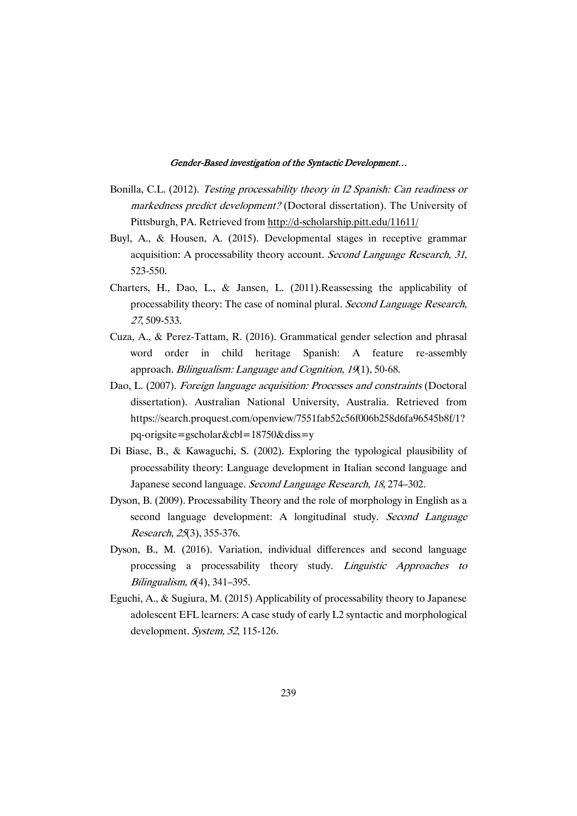- Bonilla, C.L. (2012). Testing processability theory in 12 Spanish: Can readiness or markedness predict development? (Doctoral dissertation). The University of Pittsburgh, PA. Retrieved from http://d-scholarship.pitt.edu/11611/
- Buyl, A., & Housen, A. (2015). Developmental stages in receptive grammar acquisition: A processability theory account. Second Language Research, 31, 523-550.
- Charters, H., Dao, L., & Jansen, L. (2011).Reassessing the applicability of processability theory: The case of nominal plural. Second Language Research, <sup>27</sup>,509-533.
- Cuza, A., & Perez-Tattam, R. (2016). Grammatical gender selection and phrasal word order in child heritage Spanish: A feature re-assembly approach. Bilingualism: Language and Cognition, 19(1), 50-68.
- Dao, L. (2007). Foreign language acquisition: Processes and constraints (Doctoral dissertation). Australian National University, Australia. Retrieved from https://search.proquest.com/openview/7551fab52c56f006b258d6fa96545b8f/1? pq-origsite=gscholar&cbl=18750&diss=y
- Di Biase, B., & Kawaguchi, S. (2002). Exploring the typological plausibility of processability theory: Language development in Italian second language and Japanese second language. Second Language Research, 18, 274–302.
- Dyson, B. (2009). Processability Theory and the role of morphology in English as a second language development: A longitudinal study. Second Language Research,25(3),355-376.
- Dyson, B., M. (2016). Variation, individual differences and second language processing a processability theory study. Linguistic Approaches to  $Bilingualism, 6(4), 341–395.$
- Eguchi, A., & Sugiura, M. (2015) Applicability of processability theory to Japanese adolescent EFL learners: A case study of early L2 syntactic and morphological development. System, 52, 115-126.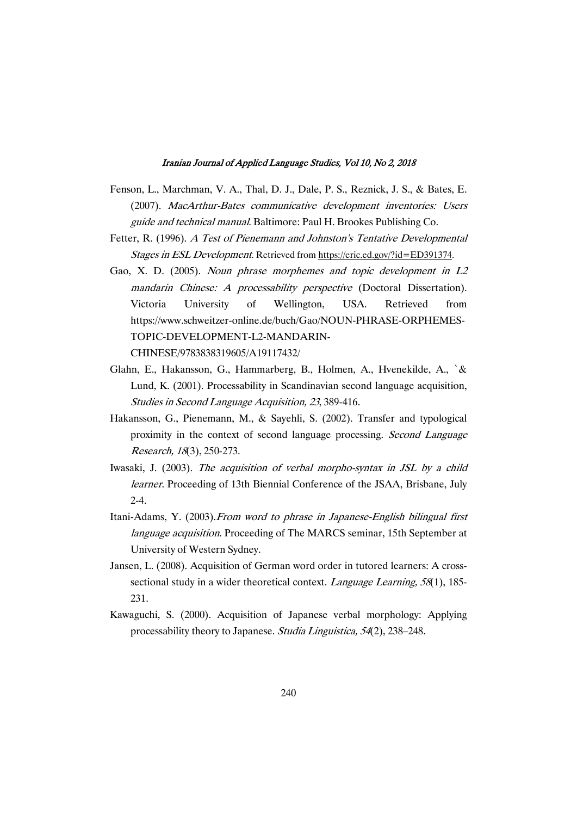- Fenson, L., Marchman, V. A., Thal, D. J., Dale, P. S., Reznick, J. S., & Bates, E. (2007). MacArthur-Bates communicative development inventories: Users guide and technical manual. Baltimore: Paul H. Brookes Publishing Co.
- Fetter, R. (1996). A Test of Pienemann and Johnston's Tentative Developmental Stages in ESL Development. Retrieved from https://eric.ed.gov/?id=ED391374.
- Gao, X. D. (2005). Noun phrase morphemes and topic development in L2 mandarin Chinese: A processability perspective (Doctoral Dissertation). Victoria University of Wellington, USA. Retrieved from https://www.schweitzer-online.de/buch/Gao/NOUN-PHRASE-ORPHEMES-TOPIC-DEVELOPMENT-L2-MANDARIN-

CHINESE/9783838319605/A19117432/

- Glahn, E., Hakansson, G., Hammarberg, B., Holmen, A., Hvenekilde, A., `& Lund, K. (2001). Processability in Scandinavian second language acquisition, Studies in Second Language Acquisition, 23, 389-416.
- Hakansson, G., Pienemann, M., & Sayehli, S. (2002). Transfer and typological proximity in the context of second language processing. Second Language Research,18(3),250-273.
- Iwasaki, J. (2003). The acquisition of verbal morpho-syntax in JSL by a child learner. Proceeding of 13th Biennial Conference of the JSAA, Brisbane, July  $2 - 4$ .
- Itani-Adams, Y. (2003).From word to phrase in Japanese-English bilingual first language acquisition. Proceeding of The MARCS seminar, 15th September at University of Western Sydney.
- Jansen, L. (2008). Acquisition of German word order in tutored learners: A crosssectional study in a wider theoretical context. Language Learning,  $58(1)$ , 185-231.
- Kawaguchi, S. (2000). Acquisition of Japanese verbal morphology: Applying processability theory to Japanese. Studia Linguistica, 54(2), 238–248.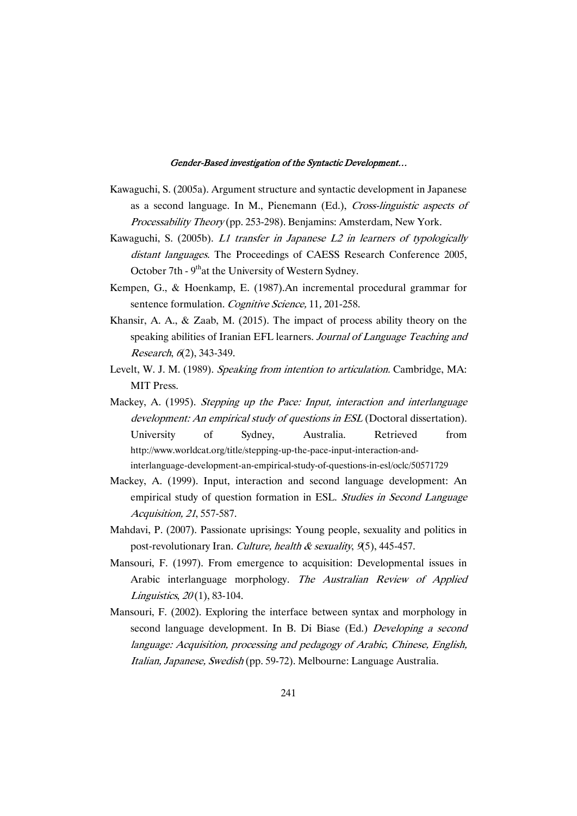- Kawaguchi, S. (2005a). Argument structure and syntactic development in Japanese as a second language. In M., Pienemann (Ed.), Cross-linguistic aspects of Processability Theory(pp. 253-298). Benjamins: Amsterdam, New York.
- Kawaguchi, S. (2005b). L1 transfer in Japanese L2 in learners of typologically distant languages. The Proceedings of CAESS Research Conference 2005, October 7th - 9<sup>th</sup>at the University of Western Sydney.
- Kempen, G., & Hoenkamp, E. (1987).An incremental procedural grammar for sentence formulation. Cognitive Science, 11, 201-258.
- Khansir, A. A., & Zaab, M. (2015). The impact of process ability theory on the speaking abilities of Iranian EFL learners. Journal of Language Teaching and Research, 6(2), 343-349.
- Levelt, W. J. M. (1989). Speaking from intention to articulation. Cambridge, MA: MIT Press.
- Mackey, A. (1995). Stepping up the Pace: Input, interaction and interlanguage development: An empirical study of questions in ESL (Doctoral dissertation). University of Sydney, Australia. Retrieved from http://www.worldcat.org/title/stepping-up-the-pace-input-interaction-andinterlanguage-development-an-empirical-study-of-questions-in-esl/oclc/50571729
- Mackey, A. (1999). Input, interaction and second language development: An empirical study of question formation in ESL. Studies in Second Language Acquisition,21,557-587.
- Mahdavi, P. (2007). Passionate uprisings: Young people, sexuality and politics in post-revolutionary Iran. Culture, health & sexuality,  $9(5)$ , 445-457.
- Mansouri, F. (1997). From emergence to acquisition: Developmental issues in Arabic interlanguage morphology. The Australian Review of Applied Linguistics,  $20(1)$ , 83-104.
- Mansouri, F. (2002). Exploring the interface between syntax and morphology in second language development. In B. Di Biase (Ed.) Developing a second language: Acquisition, processing and pedagogy of Arabic, Chinese, English, Italian, Japanese, Swedish (pp. 59-72). Melbourne: Language Australia.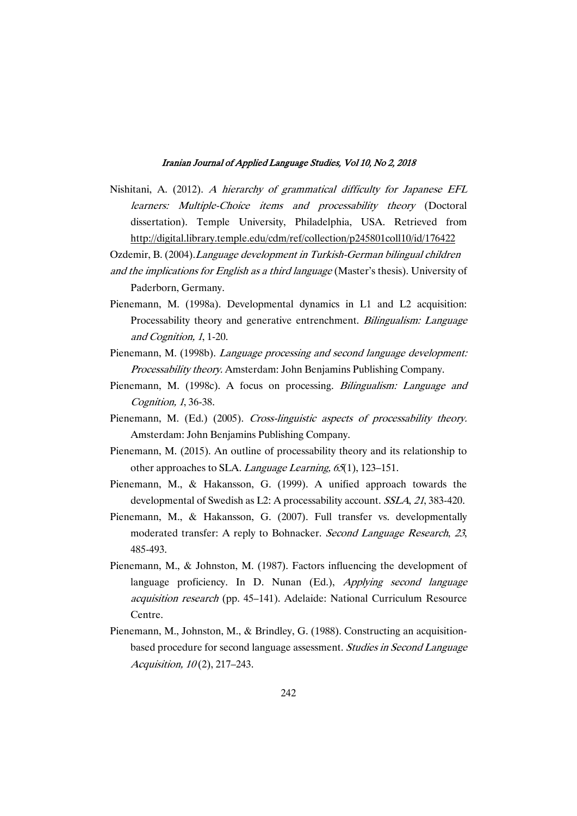- Nishitani, A. (2012). A hierarchy of grammatical difficulty for Japanese EFL learners: Multiple-Choice items and processability theory (Doctoral dissertation). Temple University, Philadelphia, USA. Retrieved from http://digital.library.temple.edu/cdm/ref/collection/p245801coll10/id/176422
- Ozdemir, B. (2004). Language development in Turkish-German bilingual children
- and the implications for English as a third language (Master's thesis). University of Paderborn, Germany.
- Pienemann, M. (1998a). Developmental dynamics in L1 and L2 acquisition: Processability theory and generative entrenchment. Bilingualism: Language and Cognition, 1, 1-20.
- Pienemann, M. (1998b). Language processing and second language development: Processability theory. Amsterdam: John Benjamins Publishing Company.
- Pienemann, M. (1998c). A focus on processing. Bilingualism: Language and Cognition, 1, 36-38.
- Pienemann, M. (Ed.) (2005). Cross-linguistic aspects of processability theory. Amsterdam: John Benjamins Publishing Company.
- Pienemann, M. (2015). An outline of processability theory and its relationship to other approaches to SLA. Language Learning, 65(1), 123–151.
- Pienemann, M., & Hakansson, G. (1999). A unified approach towards the developmental of Swedish as L2: A processability account. SSLA, 21, 383-420.
- Pienemann, M., & Hakansson, G. (2007). Full transfer vs. developmentally moderated transfer: A reply to Bohnacker. Second Language Research, <sup>23</sup>, 485-493.
- Pienemann, M., & Johnston, M. (1987). Factors influencing the development of language proficiency. In D. Nunan (Ed.), Applying second language acquisition research (pp. 45–141). Adelaide: National Curriculum Resource Centre.
- Pienemann, M., Johnston, M., & Brindley, G. (1988). Constructing an acquisitionbased procedure for second language assessment. Studies in Second Language Acquisition, 10(2), 217-243.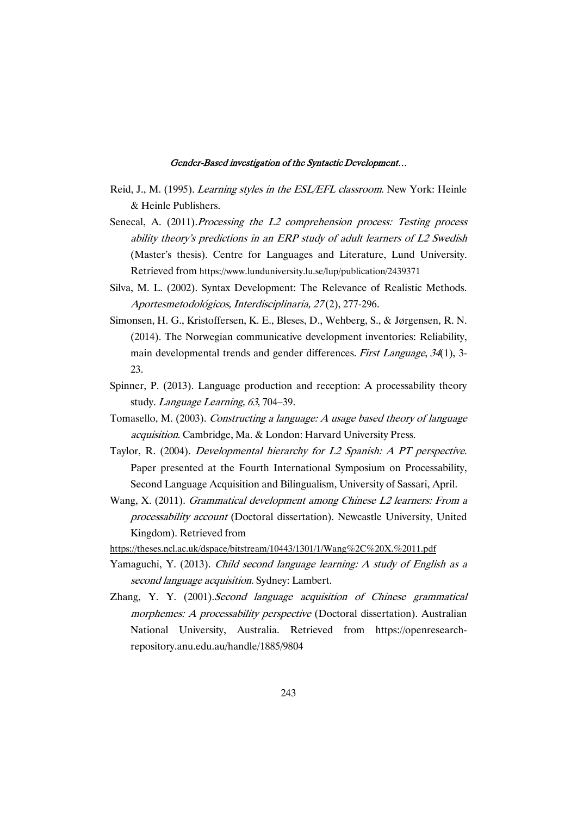- Reid, J., M. (1995). Learning styles in the ESL/EFL classroom. New York: Heinle &HeinlePublishers.
- Senecal, A. (2011). Processing the L2 comprehension process: Testing process ability theory's predictions in an ERP study of adult learners of L2 Swedish (Master's thesis). Centre for Languages and Literature, Lund University. Retrieved from https://www.lunduniversity.lu.se/lup/publication/2439371
- Silva, M. L. (2002). Syntax Development: The Relevance of Realistic Methods. Aportesmetodológicos,Interdisciplinaria,27(2),277-296.
- Simonsen, H. G., Kristoffersen, K. E., Bleses, D., Wehberg, S., & Jørgensen, R. N. (2014). The Norwegian communicative development inventories: Reliability, main developmental trends and gender differences. First Language, 34(1), 3-23.
- Spinner, P. (2013). Language production and reception: A processability theory study. Language Learning, 63, 704-39.
- Tomasello, M. (2003). Constructing a language: A usage based theory of language acquisition. Cambridge, Ma. & London: Harvard University Press.
- Taylor, R. (2004). Developmental hierarchy for L2 Spanish: A PT perspective. Paper presented at the Fourth International Symposium on Processability, Second Language Acquisition and Bilingualism, University of Sassari, April.
- Wang, X. (2011). Grammatical development among Chinese L2 learners: From a processability account (Doctoral dissertation). Newcastle University, United Kingdom). Retrieved from
- https://theses.ncl.ac.uk/dspace/bitstream/10443/1301/1/Wang%2C%20X.%2011.pdf
- Yamaguchi, Y. (2013). Child second language learning: A study of English as a second language acquisition. Sydney: Lambert.
- Zhang, Y. Y. (2001).Second language acquisition of Chinese grammatical morphemes: A processability perspective (Doctoral dissertation). Australian National University, Australia. Retrieved from https://openresearchrepository.anu.edu.au/handle/1885/9804